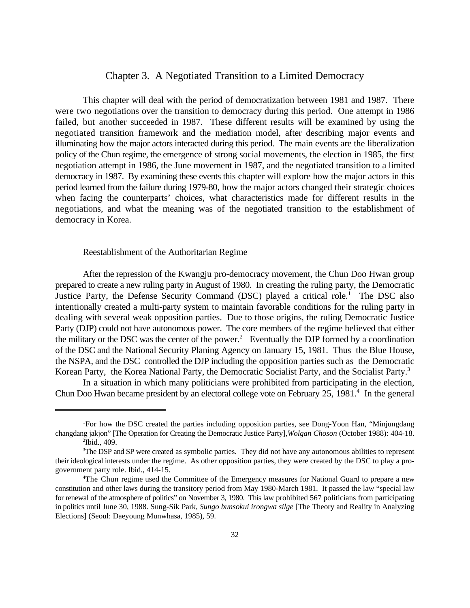# Chapter 3. A Negotiated Transition to a Limited Democracy

This chapter will deal with the period of democratization between 1981 and 1987. There were two negotiations over the transition to democracy during this period. One attempt in 1986 failed, but another succeeded in 1987. These different results will be examined by using the negotiated transition framework and the mediation model, after describing major events and illuminating how the major actors interacted during this period. The main events are the liberalization policy of the Chun regime, the emergence of strong social movements, the election in 1985, the first negotiation attempt in 1986, the June movement in 1987, and the negotiated transition to a limited democracy in 1987. By examining these events this chapter will explore how the major actors in this period learned from the failure during 1979-80, how the major actors changed their strategic choices when facing the counterparts' choices, what characteristics made for different results in the negotiations, and what the meaning was of the negotiated transition to the establishment of democracy in Korea.

# Reestablishment of the Authoritarian Regime

After the repression of the Kwangju pro-democracy movement, the Chun Doo Hwan group prepared to create a new ruling party in August of 1980. In creating the ruling party, the Democratic Justice Party, the Defense Security Command (DSC) played a critical role.<sup>1</sup> The DSC also intentionally created a multi-party system to maintain favorable conditions for the ruling party in dealing with several weak opposition parties. Due to those origins, the ruling Democratic Justice Party (DJP) could not have autonomous power. The core members of the regime believed that either the military or the DSC was the center of the power.<sup>2</sup> Eventually the DJP formed by a coordination of the DSC and the National Security Planing Agency on January 15, 1981. Thus the Blue House, the NSPA, and the DSC controlled the DJP including the opposition parties such as the Democratic Korean Party, the Korea National Party, the Democratic Socialist Party, and the Socialist Party.<sup>3</sup>

In a situation in which many politicians were prohibited from participating in the election, Chun Doo Hwan became president by an electoral college vote on February 25, 1981.<sup>4</sup> In the general

<sup>&</sup>lt;sup>1</sup>For how the DSC created the parties including opposition parties, see Dong-Yoon Han, "Minjungdang changdang jakjon" [The Operation for Creating the Democratic Justice Party],*Wolgan Choson* (October 1988): 404-18.  $\mathrm{^2Ibid.}$ , 409.

<sup>&</sup>lt;sup>3</sup>The DSP and SP were created as symbolic parties. They did not have any autonomous abilities to represent their ideological interests under the regime. As other opposition parties, they were created by the DSC to play a progovernment party role. Ibid., 414-15.

<sup>&</sup>lt;sup>4</sup>The Chun regime used the Committee of the Emergency measures for National Guard to prepare a new constitution and other laws during the transitory period from May 1980-March 1981. It passed the law "special law for renewal of the atmosphere of politics" on November 3, 1980. This law prohibited 567 politicians from participating in politics until June 30, 1988. Sung-Sik Park, *Sungo bunsokui irongwa silge* [The Theory and Reality in Analyzing Elections] (Seoul: Daeyoung Munwhasa, 1985), 59.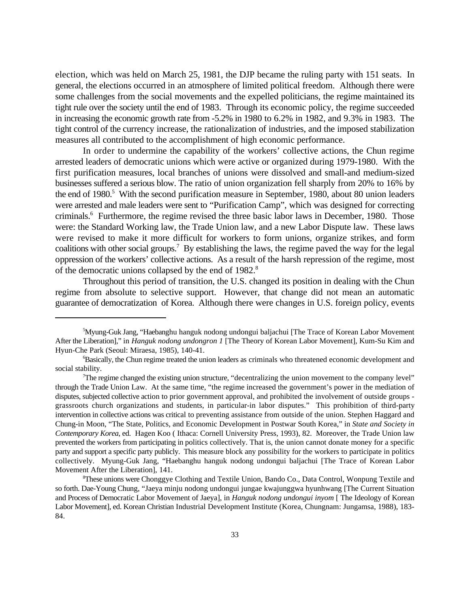election, which was held on March 25, 1981, the DJP became the ruling party with 151 seats. In general, the elections occurred in an atmosphere of limited political freedom. Although there were some challenges from the social movements and the expelled politicians, the regime maintained its tight rule over the society until the end of 1983. Through its economic policy, the regime succeeded in increasing the economic growth rate from -5.2% in 1980 to 6.2% in 1982, and 9.3% in 1983. The tight control of the currency increase, the rationalization of industries, and the imposed stabilization measures all contributed to the accomplishment of high economic performance.

In order to undermine the capability of the workers' collective actions, the Chun regime arrested leaders of democratic unions which were active or organized during 1979-1980. With the first purification measures, local branches of unions were dissolved and small-and medium-sized businesses suffered a serious blow. The ratio of union organization fell sharply from 20% to 16% by the end of 1980.<sup>5</sup> With the second purification measure in September, 1980, about 80 union leaders were arrested and male leaders were sent to "Purification Camp", which was designed for correcting criminals.<sup>6</sup> Furthermore, the regime revised the three basic labor laws in December, 1980. Those were: the Standard Working law, the Trade Union law, and a new Labor Dispute law. These laws were revised to make it more difficult for workers to form unions, organize strikes, and form coalitions with other social groups.<sup>7</sup> By establishing the laws, the regime paved the way for the legal oppression of the workers' collective actions. As a result of the harsh repression of the regime, most of the democratic unions collapsed by the end of 1982.<sup>8</sup>

Throughout this period of transition, the U.S. changed its position in dealing with the Chun regime from absolute to selective support. However, that change did not mean an automatic guarantee of democratization of Korea. Although there were changes in U.S. foreign policy, events

<sup>&</sup>lt;sup>5</sup>Myung-Guk Jang, "Haebanghu hanguk nodong undongui baljachui [The Trace of Korean Labor Movement] After the Liberation]," in *Hanguk nodong undongron 1* [The Theory of Korean Labor Movement], Kum-Su Kim and Hyun-Che Park (Seoul: Miraesa, 1985), 140-41.

<sup>&</sup>lt;sup>6</sup>Basically, the Chun regime treated the union leaders as criminals who threatened economic development and social stability.

The regime changed the existing union structure, "decentralizing the union movement to the company level" <sup>7</sup> through the Trade Union Law. At the same time, "the regime increased the government's power in the mediation of disputes, subjected collective action to prior government approval, and prohibited the involvement of outside groups grassroots church organizations and students, in particular-in labor disputes." This prohibition of third-party intervention in collective actions was critical to preventing assistance from outside of the union. Stephen Haggard and Chung-in Moon, "The State, Politics, and Economic Development in Postwar South Korea," in *State and Society in Contemporary Korea*, ed. Hagen Koo ( Ithaca: Cornell University Press, 1993), 82. Moreover, the Trade Union law prevented the workers from participating in politics collectively. That is, the union cannot donate money for a specific party and support a specific party publicly. This measure block any possibility for the workers to participate in politics collectively. Myung-Guk Jang, "Haebanghu hanguk nodong undongui baljachui [The Trace of Korean Labor Movement After the Liberation], 141.

<sup>&</sup>lt;sup>8</sup>These unions were Chonggye Clothing and Textile Union, Bando Co., Data Control, Wonpung Textile and so forth. Dae-Young Chung, "Jaeya minju nodong undongui jungae kwajunggwa hyunhwang [The Current Situation and Process of Democratic Labor Movement of Jaeya], in *Hanguk nodong undongui inyom* [ The Ideology of Korean Labor Movement], ed. Korean Christian Industrial Development Institute (Korea, Chungnam: Jungamsa, 1988), 183- 84.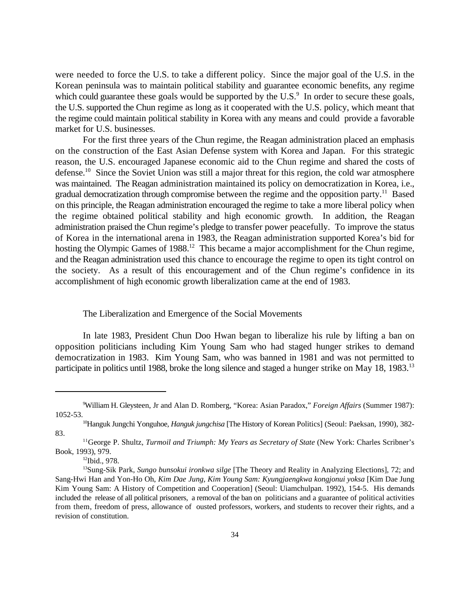were needed to force the U.S. to take a different policy. Since the major goal of the U.S. in the Korean peninsula was to maintain political stability and guarantee economic benefits, any regime which could guarantee these goals would be supported by the  $U.S.<sup>9</sup>$  In order to secure these goals, the U.S. supported the Chun regime as long as it cooperated with the U.S. policy, which meant that the regime could maintain political stability in Korea with any means and could provide a favorable market for U.S. businesses.

For the first three years of the Chun regime, the Reagan administration placed an emphasis on the construction of the East Asian Defense system with Korea and Japan. For this strategic reason, the U.S. encouraged Japanese economic aid to the Chun regime and shared the costs of defense.<sup>10</sup> Since the Soviet Union was still a major threat for this region, the cold war atmosphere was maintained. The Reagan administration maintained its policy on democratization in Korea, i.e., gradual democratization through compromise between the regime and the opposition party.<sup>11</sup> Based on this principle, the Reagan administration encouraged the regime to take a more liberal policy when the regime obtained political stability and high economic growth. In addition, the Reagan administration praised the Chun regime's pledge to transfer power peacefully. To improve the status of Korea in the international arena in 1983, the Reagan administration supported Korea's bid for hosting the Olympic Games of  $1988$ <sup>12</sup>. This became a major accomplishment for the Chun regime, and the Reagan administration used this chance to encourage the regime to open its tight control on the society. As a result of this encouragement and of the Chun regime's confidence in its accomplishment of high economic growth liberalization came at the end of 1983.

### The Liberalization and Emergence of the Social Movements

In late 1983, President Chun Doo Hwan began to liberalize his rule by lifting a ban on opposition politicians including Kim Young Sam who had staged hunger strikes to demand democratization in 1983. Kim Young Sam, who was banned in 1981 and was not permitted to participate in politics until 1988, broke the long silence and staged a hunger strike on May 18, 1983.<sup>13</sup>

William H. Gleysteen, Jr and Alan D. Romberg, "Korea: Asian Paradox," *Foreign Affairs* (Summer 1987): <sup>9</sup> 1052-53.

<sup>&</sup>lt;sup>10</sup>Hanguk Jungchi Yonguhoe, *Hanguk jungchisa* [The History of Korean Politics] (Seoul: Paeksan, 1990), 382-83.

<sup>&</sup>lt;sup>11</sup>George P. Shultz, Turmoil and Triumph: My Years as Secretary of State (New York: Charles Scribner's Book, 1993), 979.

 $12$ Ibid., 978.

<sup>&</sup>lt;sup>13</sup>Sung-Sik Park, Sungo bunsokui ironkwa silge [The Theory and Reality in Analyzing Elections], 72; and Sang-Hwi Han and Yon-Ho Oh, *Kim Dae Jung, Kim Young Sam: Kyungjaengkwa kongjonui yoksa* [Kim Dae Jung Kim Young Sam: A History of Competition and Cooperation] (Seoul: Uiamchulpan. 1992), 154-5. His demands included the release of all political prisoners, a removal of the ban on politicians and a guarantee of political activities from them, freedom of press, allowance of ousted professors, workers, and students to recover their rights, and a revision of constitution.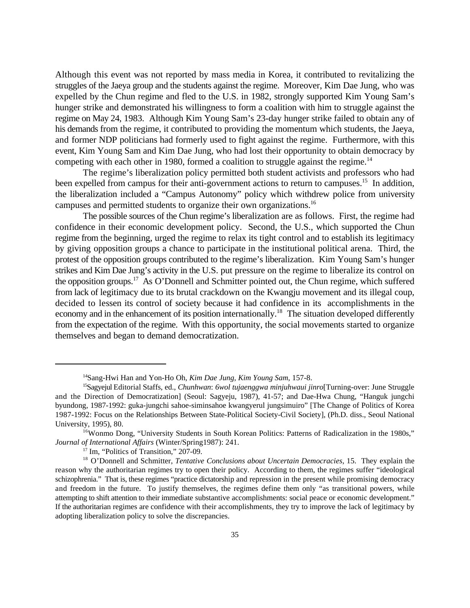Although this event was not reported by mass media in Korea, it contributed to revitalizing the struggles of the Jaeya group and the students against the regime. Moreover, Kim Dae Jung, who was expelled by the Chun regime and fled to the U.S. in 1982, strongly supported Kim Young Sam's hunger strike and demonstrated his willingness to form a coalition with him to struggle against the regime on May 24, 1983. Although Kim Young Sam's 23-day hunger strike failed to obtain any of his demands from the regime, it contributed to providing the momentum which students, the Jaeya, and former NDP politicians had formerly used to fight against the regime. Furthermore, with this event, Kim Young Sam and Kim Dae Jung, who had lost their opportunity to obtain democracy by competing with each other in 1980, formed a coalition to struggle against the regime.<sup>14</sup>

The regime's liberalization policy permitted both student activists and professors who had been expelled from campus for their anti-government actions to return to campuses.<sup>15</sup> In addition, the liberalization included a "Campus Autonomy" policy which withdrew police from university campuses and permitted students to organize their own organizations.<sup>16</sup>

The possible sources of the Chun regime's liberalization are as follows. First, the regime had confidence in their economic development policy. Second, the U.S., which supported the Chun regime from the beginning, urged the regime to relax its tight control and to establish its legitimacy by giving opposition groups a chance to participate in the institutional political arena. Third, the protest of the opposition groups contributed to the regime's liberalization. Kim Young Sam's hunger strikes and Kim Dae Jung's activity in the U.S. put pressure on the regime to liberalize its control on the opposition groups.<sup>17</sup> As O'Donnell and Schmitter pointed out, the Chun regime, which suffered from lack of legitimacy due to its brutal crackdown on the Kwangju movement and its illegal coup, decided to lessen its control of society because it had confidence in its accomplishments in the economy and in the enhancement of its position internationally.<sup>18</sup> The situation developed differently from the expectation of the regime. With this opportunity, the social movements started to organize themselves and began to demand democratization.

<sup>&</sup>lt;sup>14</sup>Sang-Hwi Han and Yon-Ho Oh, *Kim Dae Jung, Kim Young Sam*, 157-8.

<sup>&</sup>lt;sup>15</sup>Sagyejul Editorial Staffs, ed., *Chunhwan: 6wol tujaenggwa minjuhwaui jinro*[Turning-over: June Struggle and the Direction of Democratization] (Seoul: Sagyeju, 1987), 41-57; and Dae-Hwa Chung, "Hanguk jungchi byundong, 1987-1992: guka-jungchi sahoe-siminsahoe kwangyerul jungsimuiro" [The Change of Politics of Korea 1987-1992: Focus on the Relationships Between State-Political Society-Civil Society], (Ph.D. diss., Seoul National University, 1995), 80.

<sup>&</sup>lt;sup>16</sup>Wonmo Dong, "University Students in South Korean Politics: Patterns of Radicalization in the 1980s," *Journal of International Affairs* (Winter/Spring1987): 241.

 $17$  Im, "Politics of Transition," 207-09.

<sup>&</sup>lt;sup>18</sup> O'Donnell and Schmitter, *Tentative Conclusions about Uncertain Democracies*, 15. They explain the reason why the authoritarian regimes try to open their policy. According to them, the regimes suffer "ideological schizophrenia." That is, these regimes "practice dictatorship and repression in the present while promising democracy and freedom in the future. To justify themselves, the regimes define them only "as transitional powers, while attempting to shift attention to their immediate substantive accomplishments: social peace or economic development." If the authoritarian regimes are confidence with their accomplishments, they try to improve the lack of legitimacy by adopting liberalization policy to solve the discrepancies.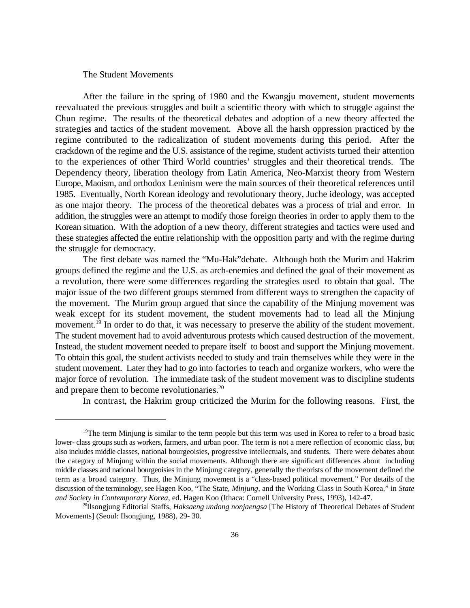#### The Student Movements

After the failure in the spring of 1980 and the Kwangju movement, student movements reevaluated the previous struggles and built a scientific theory with which to struggle against the Chun regime. The results of the theoretical debates and adoption of a new theory affected the strategies and tactics of the student movement. Above all the harsh oppression practiced by the regime contributed to the radicalization of student movements during this period. After the crackdown of the regime and the U.S. assistance of the regime, student activists turned their attention to the experiences of other Third World countries' struggles and their theoretical trends. The Dependency theory, liberation theology from Latin America, Neo-Marxist theory from Western Europe, Maoism, and orthodox Leninism were the main sources of their theoretical references until 1985. Eventually, North Korean ideology and revolutionary theory, Juche ideology, was accepted as one major theory. The process of the theoretical debates was a process of trial and error. In addition, the struggles were an attempt to modify those foreign theories in order to apply them to the Korean situation. With the adoption of a new theory, different strategies and tactics were used and these strategies affected the entire relationship with the opposition party and with the regime during the struggle for democracy.

The first debate was named the "Mu-Hak"debate. Although both the Murim and Hakrim groups defined the regime and the U.S. as arch-enemies and defined the goal of their movement as a revolution, there were some differences regarding the strategies used to obtain that goal. The major issue of the two different groups stemmed from different ways to strengthen the capacity of the movement. The Murim group argued that since the capability of the Minjung movement was weak except for its student movement, the student movements had to lead all the Minjung movement.<sup>19</sup> In order to do that, it was necessary to preserve the ability of the student movement. The student movement had to avoid adventurous protests which caused destruction of the movement. Instead, the student movement needed to prepare itself to boost and support the Minjung movement. To obtain this goal, the student activists needed to study and train themselves while they were in the student movement. Later they had to go into factories to teach and organize workers, who were the major force of revolution. The immediate task of the student movement was to discipline students and prepare them to become revolutionaries.<sup>20</sup>

In contrast, the Hakrim group criticized the Murim for the following reasons. First, the

<sup>&</sup>lt;sup>19</sup>The term Minjung is similar to the term people but this term was used in Korea to refer to a broad basic lower- class groups such as workers, farmers, and urban poor. The term is not a mere reflection of economic class, but also includes middle classes, national bourgeoisies, progressive intellectuals, and students. There were debates about the category of Minjung within the social movements. Although there are significant differences about including middle classes and national bourgeoisies in the Minjung category, generally the theorists of the movement defined the term as a broad category. Thus, the Minjung movement is a "class-based political movement." For details of the discussion of the terminology, see Hagen Koo, "The State, *Minjung*, and the Working Class in South Korea," in *State and Society in Contemporary Korea*, ed. Hagen Koo (Ithaca: Cornell University Press, 1993), 142-47.

<sup>&</sup>lt;sup>20</sup>Ilsongjung Editorial Staffs, *Haksaeng undong nonjaengsa* [The History of Theoretical Debates of Student Movements] (Seoul: Ilsongjung, 1988), 29- 30.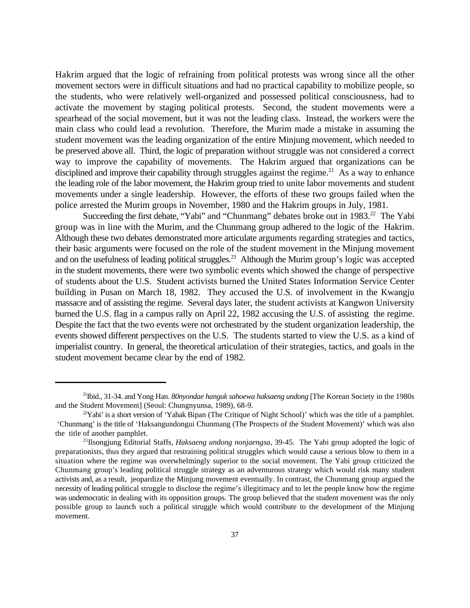Hakrim argued that the logic of refraining from political protests was wrong since all the other movement sectors were in difficult situations and had no practical capability to mobilize people, so the students, who were relatively well-organized and possessed political consciousness, had to activate the movement by staging political protests. Second, the student movements were a spearhead of the social movement, but it was not the leading class. Instead, the workers were the main class who could lead a revolution. Therefore, the Murim made a mistake in assuming the student movement was the leading organization of the entire Minjung movement, which needed to be preserved above all. Third, the logic of preparation without struggle was not considered a correct way to improve the capability of movements. The Hakrim argued that organizations can be disciplined and improve their capability through struggles against the regime.<sup>21</sup> As a way to enhance the leading role of the labor movement, the Hakrim group tried to unite labor movements and student movements under a single leadership. However, the efforts of these two groups failed when the police arrested the Murim groups in November, 1980 and the Hakrim groups in July, 1981.

Succeeding the first debate, "Yabi" and "Chunmang" debates broke out in 1983.<sup>22</sup> The Yabi group was in line with the Murim, and the Chunmang group adhered to the logic of the Hakrim. Although these two debates demonstrated more articulate arguments regarding strategies and tactics, their basic arguments were focused on the role of the student movement in the Minjung movement and on the usefulness of leading political struggles.<sup>23</sup> Although the Murim group's logic was accepted in the student movements, there were two symbolic events which showed the change of perspective of students about the U.S. Student activists burned the United States Information Service Center building in Pusan on March 18, 1982. They accused the U.S. of involvement in the Kwangju massacre and of assisting the regime. Several days later, the student activists at Kangwon University burned the U.S. flag in a campus rally on April 22, 1982 accusing the U.S. of assisting the regime. Despite the fact that the two events were not orchestrated by the student organization leadership, the events showed different perspectives on the U.S. The students started to view the U.S. as a kind of imperialist country. In general, the theoretical articulation of their strategies, tactics, and goals in the student movement became clear by the end of 1982.

<sup>&</sup>lt;sup>21</sup>Ibid., 31-34. and Yong Han. *80nyondae hanguk sahoewa haksaeng undong* [The Korean Society in the 1980s] and the Student Movement] (Seoul: Chungnyunsa, 1989), 68-9.

 $2^{\circ}$ Yabi' is a short version of 'Yahak Bipan (The Critique of Night School)' which was the title of a pamphlet. 'Chunmang' is the title of 'Haksangundongui Chunmang (The Prospects of the Student Movement)' which was also the title of another pamphlet.

<sup>&</sup>lt;sup>23</sup>Ilsongjung Editorial Staffs, *Haksaeng undong nonjaengsa*, 39-45. The Yabi group adopted the logic of preparationists, thus they argued that restraining political struggles which would cause a serious blow to them in a situation where the regime was overwhelmingly superior to the social movement. The Yabi group criticized the Chunmang group's leading political struggle strategy as an adventurous strategy which would risk many student activists and, as a result, jeopardize the Minjung movement eventually. In contrast, the Chunmang group argued the necessity of leading political struggle to disclose the regime's illegitimacy and to let the people know how the regime was undemocratic in dealing with its opposition groups. The group believed that the student movement was the only possible group to launch such a political struggle which would contribute to the development of the Minjung movement.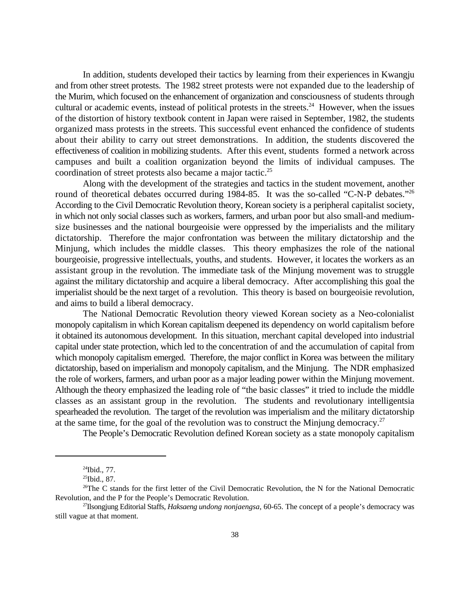In addition, students developed their tactics by learning from their experiences in Kwangju and from other street protests. The 1982 street protests were not expanded due to the leadership of the Murim, which focused on the enhancement of organization and consciousness of students through cultural or academic events, instead of political protests in the streets. $24$  However, when the issues of the distortion of history textbook content in Japan were raised in September, 1982, the students organized mass protests in the streets. This successful event enhanced the confidence of students about their ability to carry out street demonstrations. In addition, the students discovered the effectiveness of coalition in mobilizing students. After this event, students formed a network across campuses and built a coalition organization beyond the limits of individual campuses. The coordination of street protests also became a major tactic.<sup>25</sup>

Along with the development of the strategies and tactics in the student movement, another round of theoretical debates occurred during 1984-85. It was the so-called "C-N-P debates."<sup>26</sup> According to the Civil Democratic Revolution theory, Korean society is a peripheral capitalist society, in which not only social classes such as workers, farmers, and urban poor but also small-and mediumsize businesses and the national bourgeoisie were oppressed by the imperialists and the military dictatorship. Therefore the major confrontation was between the military dictatorship and the Minjung, which includes the middle classes. This theory emphasizes the role of the national bourgeoisie, progressive intellectuals, youths, and students. However, it locates the workers as an assistant group in the revolution. The immediate task of the Minjung movement was to struggle against the military dictatorship and acquire a liberal democracy. After accomplishing this goal the imperialist should be the next target of a revolution. This theory is based on bourgeoisie revolution, and aims to build a liberal democracy.

The National Democratic Revolution theory viewed Korean society as a Neo-colonialist monopoly capitalism in which Korean capitalism deepened its dependency on world capitalism before it obtained its autonomous development. In this situation, merchant capital developed into industrial capital under state protection, which led to the concentration of and the accumulation of capital from which monopoly capitalism emerged. Therefore, the major conflict in Korea was between the military dictatorship, based on imperialism and monopoly capitalism, and the Minjung. The NDR emphasized the role of workers, farmers, and urban poor as a major leading power within the Minjung movement. Although the theory emphasized the leading role of "the basic classes" it tried to include the middle classes as an assistant group in the revolution. The students and revolutionary intelligentsia spearheaded the revolution. The target of the revolution was imperialism and the military dictatorship at the same time, for the goal of the revolution was to construct the Minjung democracy.<sup>27</sup>

The People's Democratic Revolution defined Korean society as a state monopoly capitalism

 $^{24}$ Ibid., 77.

 $^{25}$ Ibid., 87.

<sup>&</sup>lt;sup>26</sup>The C stands for the first letter of the Civil Democratic Revolution, the N for the National Democratic Revolution, and the P for the People's Democratic Revolution.

<sup>&</sup>lt;sup>27</sup>Ilsongjung Editorial Staffs, *Haksaeng undong nonjaengsa*, 60-65. The concept of a people's democracy was still vague at that moment.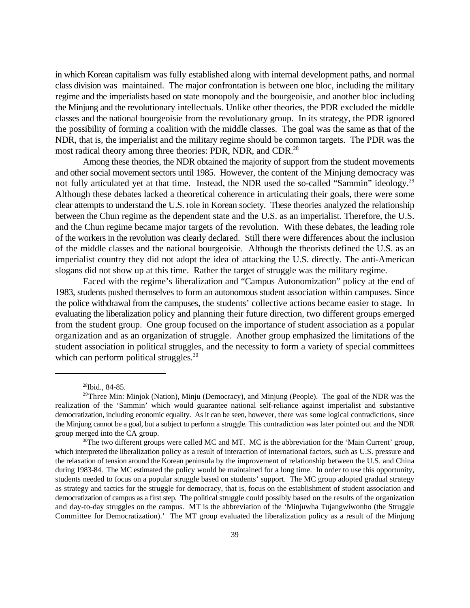in which Korean capitalism was fully established along with internal development paths, and normal class division was maintained. The major confrontation is between one bloc, including the military regime and the imperialists based on state monopoly and the bourgeoisie, and another bloc including the Minjung and the revolutionary intellectuals. Unlike other theories, the PDR excluded the middle classes and the national bourgeoisie from the revolutionary group. In its strategy, the PDR ignored the possibility of forming a coalition with the middle classes. The goal was the same as that of the NDR, that is, the imperialist and the military regime should be common targets. The PDR was the most radical theory among three theories: PDR, NDR, and CDR.<sup>28</sup>

Among these theories, the NDR obtained the majority of support from the student movements and other social movement sectors until 1985. However, the content of the Minjung democracy was not fully articulated yet at that time. Instead, the NDR used the so-called "Sammin" ideology.<sup>29</sup> Although these debates lacked a theoretical coherence in articulating their goals, there were some clear attempts to understand the U.S. role in Korean society. These theories analyzed the relationship between the Chun regime as the dependent state and the U.S. as an imperialist. Therefore, the U.S. and the Chun regime became major targets of the revolution. With these debates, the leading role of the workers in the revolution was clearly declared. Still there were differences about the inclusion of the middle classes and the national bourgeoisie. Although the theorists defined the U.S. as an imperialist country they did not adopt the idea of attacking the U.S. directly. The anti-American slogans did not show up at this time. Rather the target of struggle was the military regime.

Faced with the regime's liberalization and "Campus Autonomization" policy at the end of 1983, students pushed themselves to form an autonomous student association within campuses. Since the police withdrawal from the campuses, the students' collective actions became easier to stage. In evaluating the liberalization policy and planning their future direction, two different groups emerged from the student group. One group focused on the importance of student association as a popular organization and as an organization of struggle. Another group emphasized the limitations of the student association in political struggles, and the necessity to form a variety of special committees which can perform political struggles.<sup>30</sup>

 $28$ Ibid., 84-85.

<sup>&</sup>lt;sup>29</sup>Three Min: Minjok (Nation), Minju (Democracy), and Minjung (People). The goal of the NDR was the realization of the 'Sammin' which would guarantee national self-reliance against imperialist and substantive democratization, including economic equality. As it can be seen, however, there was some logical contradictions, since the Minjung cannot be a goal, but a subject to perform a struggle. This contradiction was later pointed out and the NDR group merged into the CA group.

 $30$ The two different groups were called MC and MT. MC is the abbreviation for the 'Main Current' group, which interpreted the liberalization policy as a result of interaction of international factors, such as U.S. pressure and the relaxation of tension around the Korean peninsula by the improvement of relationship between the U.S. and China during 1983-84. The MC estimated the policy would be maintained for a long time. In order to use this opportunity, students needed to focus on a popular struggle based on students' support. The MC group adopted gradual strategy as strategy and tactics for the struggle for democracy, that is, focus on the establishment of student association and democratization of campus as a first step. The political struggle could possibly based on the results of the organization and day-to-day struggles on the campus. MT is the abbreviation of the 'Minjuwha Tujangwiwonho (the Struggle Committee for Democratization).' The MT group evaluated the liberalization policy as a result of the Minjung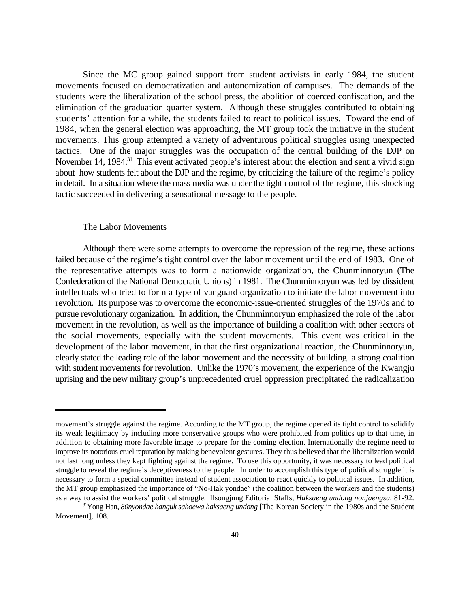Since the MC group gained support from student activists in early 1984, the student movements focused on democratization and autonomization of campuses. The demands of the students were the liberalization of the school press, the abolition of coerced confiscation, and the elimination of the graduation quarter system. Although these struggles contributed to obtaining students' attention for a while, the students failed to react to political issues. Toward the end of 1984, when the general election was approaching, the MT group took the initiative in the student movements. This group attempted a variety of adventurous political struggles using unexpected tactics. One of the major struggles was the occupation of the central building of the DJP on November 14, 1984.<sup>31</sup> This event activated people's interest about the election and sent a vivid sign about how students felt about the DJP and the regime, by criticizing the failure of the regime's policy in detail. In a situation where the mass media was under the tight control of the regime, this shocking tactic succeeded in delivering a sensational message to the people.

#### The Labor Movements

Although there were some attempts to overcome the repression of the regime, these actions failed because of the regime's tight control over the labor movement until the end of 1983. One of the representative attempts was to form a nationwide organization, the Chunminnoryun (The Confederation of the National Democratic Unions) in 1981. The Chunminnoryun was led by dissident intellectuals who tried to form a type of vanguard organization to initiate the labor movement into revolution. Its purpose was to overcome the economic-issue-oriented struggles of the 1970s and to pursue revolutionary organization. In addition, the Chunminnoryun emphasized the role of the labor movement in the revolution, as well as the importance of building a coalition with other sectors of the social movements, especially with the student movements. This event was critical in the development of the labor movement, in that the first organizational reaction, the Chunminnoryun, clearly stated the leading role of the labor movement and the necessity of building a strong coalition with student movements for revolution. Unlike the 1970's movement, the experience of the Kwangju uprising and the new military group's unprecedented cruel oppression precipitated the radicalization

movement's struggle against the regime. According to the MT group, the regime opened its tight control to solidify its weak legitimacy by including more conservative groups who were prohibited from politics up to that time, in addition to obtaining more favorable image to prepare for the coming election. Internationally the regime need to improve its notorious cruel reputation by making benevolent gestures. They thus believed that the liberalization would not last long unless they kept fighting against the regime. To use this opportunity, it was necessary to lead political struggle to reveal the regime's deceptiveness to the people. In order to accomplish this type of political struggle it is necessary to form a special committee instead of student association to react quickly to political issues. In addition, the MT group emphasized the importance of "No-Hak yondae" (the coalition between the workers and the students) as a way to assist the workers' political struggle. Ilsongjung Editorial Staffs, *Haksaeng undong nonjaengsa*, 81-92.

<sup>&</sup>lt;sup>31</sup>Yong Han, *80nyondae hanguk sahoewa haksaeng undong* [The Korean Society in the 1980s and the Student Movement], 108.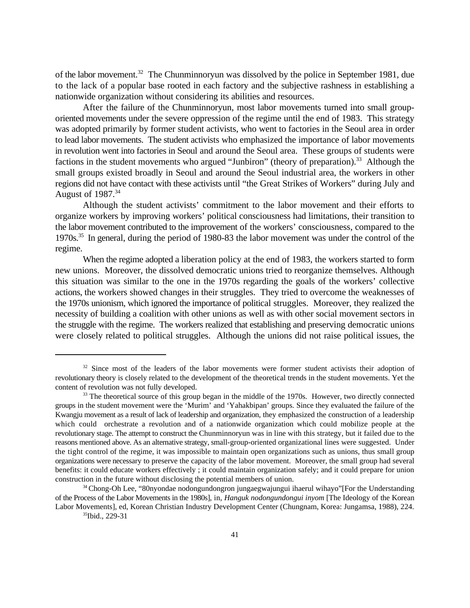of the labor movement.<sup>32</sup> The Chunminnoryun was dissolved by the police in September 1981, due to the lack of a popular base rooted in each factory and the subjective rashness in establishing a nationwide organization without considering its abilities and resources.

After the failure of the Chunminnoryun, most labor movements turned into small grouporiented movements under the severe oppression of the regime until the end of 1983. This strategy was adopted primarily by former student activists, who went to factories in the Seoul area in order to lead labor movements. The student activists who emphasized the importance of labor movements in revolution went into factories in Seoul and around the Seoul area. These groups of students were factions in the student movements who argued "Junbiron" (theory of preparation).<sup>33</sup> Although the small groups existed broadly in Seoul and around the Seoul industrial area, the workers in other regions did not have contact with these activists until "the Great Strikes of Workers" during July and August of  $1987.<sup>34</sup>$ 

Although the student activists' commitment to the labor movement and their efforts to organize workers by improving workers' political consciousness had limitations, their transition to the labor movement contributed to the improvement of the workers' consciousness, compared to the 1970s.<sup>35</sup> In general, during the period of 1980-83 the labor movement was under the control of the regime.

When the regime adopted a liberation policy at the end of 1983, the workers started to form new unions. Moreover, the dissolved democratic unions tried to reorganize themselves. Although this situation was similar to the one in the 1970s regarding the goals of the workers' collective actions, the workers showed changes in their struggles. They tried to overcome the weaknesses of the 1970s unionism, which ignored the importance of political struggles. Moreover, they realized the necessity of building a coalition with other unions as well as with other social movement sectors in the struggle with the regime. The workers realized that establishing and preserving democratic unions were closely related to political struggles. Although the unions did not raise political issues, the

 $32$  Since most of the leaders of the labor movements were former student activists their adoption of revolutionary theory is closely related to the development of the theoretical trends in the student movements. Yet the content of revolution was not fully developed.

<sup>&</sup>lt;sup>33</sup> The theoretical source of this group began in the middle of the 1970s. However, two directly connected groups in the student movement were the 'Murim' and 'Yahakbipan' groups. Since they evaluated the failure of the Kwangju movement as a result of lack of leadership and organization, they emphasized the construction of a leadership which could orchestrate a revolution and of a nationwide organization which could mobilize people at the revolutionary stage. The attempt to construct the Chunminnoryun was in line with this strategy, but it failed due to the reasons mentioned above. As an alternative strategy, small-group-oriented organizational lines were suggested. Under the tight control of the regime, it was impossible to maintain open organizations such as unions, thus small group organizations were necessary to preserve the capacity of the labor movement. Moreover, the small group had several benefits: it could educate workers effectively ; it could maintain organization safely; and it could prepare for union construction in the future without disclosing the potential members of union.

<sup>&</sup>lt;sup>34</sup> Chong-Oh Lee, "80nyondae nodongundongron jungaegwajungui ihaerul wihayo"[For the Understanding of the Process of the Labor Movements in the 1980s], in, *Hanguk nodongundongui inyom* [The Ideology of the Korean Labor Movements], ed, Korean Christian Industry Development Center (Chungnam, Korea: Jungamsa, 1988), 224.

 $35$ Ibid., 229-31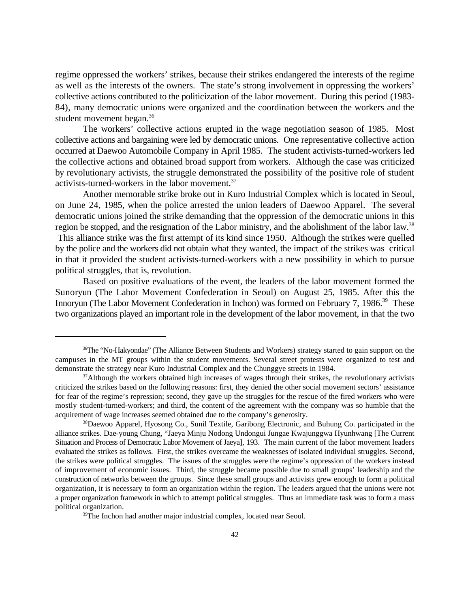regime oppressed the workers' strikes, because their strikes endangered the interests of the regime as well as the interests of the owners. The state's strong involvement in oppressing the workers' collective actions contributed to the politicization of the labor movement. During this period (1983- 84), many democratic unions were organized and the coordination between the workers and the student movement began.<sup>36</sup>

The workers' collective actions erupted in the wage negotiation season of 1985. Most collective actions and bargaining were led by democratic unions. One representative collective action occurred at Daewoo Automobile Company in April 1985. The student activists-turned-workers led the collective actions and obtained broad support from workers. Although the case was criticized by revolutionary activists, the struggle demonstrated the possibility of the positive role of student activists-turned-workers in the labor movement.<sup>37</sup>

Another memorable strike broke out in Kuro Industrial Complex which is located in Seoul, on June 24, 1985, when the police arrested the union leaders of Daewoo Apparel. The several democratic unions joined the strike demanding that the oppression of the democratic unions in this region be stopped, and the resignation of the Labor ministry, and the abolishment of the labor law.<sup>38</sup> This alliance strike was the first attempt of its kind since 1950. Although the strikes were quelled by the police and the workers did not obtain what they wanted, the impact of the strikes was critical in that it provided the student activists-turned-workers with a new possibility in which to pursue political struggles, that is, revolution.

Based on positive evaluations of the event, the leaders of the labor movement formed the Sunoryun (The Labor Movement Confederation in Seoul) on August 25, 1985. After this the Innoryun (The Labor Movement Confederation in Inchon) was formed on February 7, 1986.<sup>39</sup> These two organizations played an important role in the development of the labor movement, in that the two

 $<sup>36</sup>$ The "No-Hakyondae" (The Alliance Between Students and Workers) strategy started to gain support on the</sup> campuses in the MT groups within the student movements. Several street protests were organized to test and demonstrate the strategy near Kuro Industrial Complex and the Chunggye streets in 1984.

<sup>&</sup>lt;sup>37</sup>Although the workers obtained high increases of wages through their strikes, the revolutionary activists criticized the strikes based on the following reasons: first, they denied the other social movement sectors' assistance for fear of the regime's repression; second, they gave up the struggles for the rescue of the fired workers who were mostly student-turned-workers; and third, the content of the agreement with the company was so humble that the acquirement of wage increases seemed obtained due to the company's generosity.

<sup>&</sup>lt;sup>38</sup>Daewoo Apparel, Hyosong Co., Sunil Textile, Garibong Electronic, and Buhung Co. participated in the alliance strikes. Dae-young Chung, "Jaeya Minju Nodong Undongui Jungae Kwajunggwa Hyunhwang [The Current Situation and Process of Democratic Labor Movement of Jaeya], 193. The main current of the labor movement leaders evaluated the strikes as follows. First, the strikes overcame the weaknesses of isolated individual struggles. Second, the strikes were political struggles. The issues of the struggles were the regime's oppression of the workers instead of improvement of economic issues. Third, the struggle became possible due to small groups' leadership and the construction of networks between the groups. Since these small groups and activists grew enough to form a political organization, it is necessary to form an organization within the region. The leaders argued that the unions were not a proper organization framework in which to attempt political struggles. Thus an immediate task was to form a mass political organization.

 $39$ The Inchon had another major industrial complex, located near Seoul.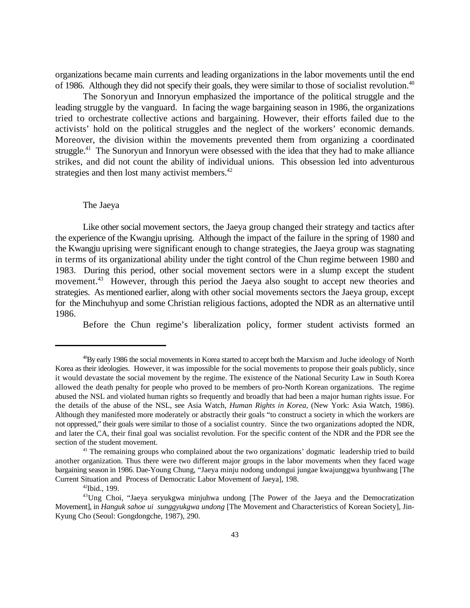organizations became main currents and leading organizations in the labor movements until the end of 1986. Although they did not specify their goals, they were similar to those of socialist revolution.<sup>40</sup>

The Sonoryun and Innoryun emphasized the importance of the political struggle and the leading struggle by the vanguard. In facing the wage bargaining season in 1986, the organizations tried to orchestrate collective actions and bargaining. However, their efforts failed due to the activists' hold on the political struggles and the neglect of the workers' economic demands. Moreover, the division within the movements prevented them from organizing a coordinated struggle.<sup> $41$ </sup> The Sunoryun and Innoryun were obsessed with the idea that they had to make alliance strikes, and did not count the ability of individual unions. This obsession led into adventurous strategies and then lost many activist members.<sup>42</sup>

#### The Jaeya

Like other social movement sectors, the Jaeya group changed their strategy and tactics after the experience of the Kwangju uprising. Although the impact of the failure in the spring of 1980 and the Kwangju uprising were significant enough to change strategies, the Jaeya group was stagnating in terms of its organizational ability under the tight control of the Chun regime between 1980 and 1983. During this period, other social movement sectors were in a slump except the student movement.<sup>43</sup> However, through this period the Jaeya also sought to accept new theories and strategies. As mentioned earlier, along with other social movements sectors the Jaeya group, except for the Minchuhyup and some Christian religious factions, adopted the NDR as an alternative until 1986.

Before the Chun regime's liberalization policy, former student activists formed an

 $^{40}$ By early 1986 the social movements in Korea started to accept both the Marxism and Juche ideology of North Korea as their ideologies. However, it was impossible for the social movements to propose their goals publicly, since it would devastate the social movement by the regime. The existence of the National Security Law in South Korea allowed the death penalty for people who proved to be members of pro-North Korean organizations. The regime abused the NSL and violated human rights so frequently and broadly that had been a major human rights issue. For the details of the abuse of the NSL, see Asia Watch, *Human Rights in Korea*, (New York: Asia Watch, 1986). Although they manifested more moderately or abstractly their goals "to construct a society in which the workers are not oppressed," their goals were similar to those of a socialist country. Since the two organizations adopted the NDR, and later the CA, their final goal was socialist revolution. For the specific content of the NDR and the PDR see the section of the student movement.

<sup>&</sup>lt;sup>41</sup> The remaining groups who complained about the two organizations' dogmatic leadership tried to build another organization. Thus there were two different major groups in the labor movements when they faced wage bargaining season in 1986. Dae-Young Chung, "Jaeya minju nodong undongui jungae kwajunggwa hyunhwang [The Current Situation and Process of Democratic Labor Movement of Jaeya], 198.

 $42$ Ibid., 199.

<sup>&</sup>lt;sup>43</sup>Ung Choi, "Jaeya seryukgwa minjuhwa undong [The Power of the Jaeya and the Democratization Movement], in *Hanguk sahoe ui sunggyukgwa undong* [The Movement and Characteristics of Korean Society], Jin-Kyung Cho (Seoul: Gongdongche, 1987), 290.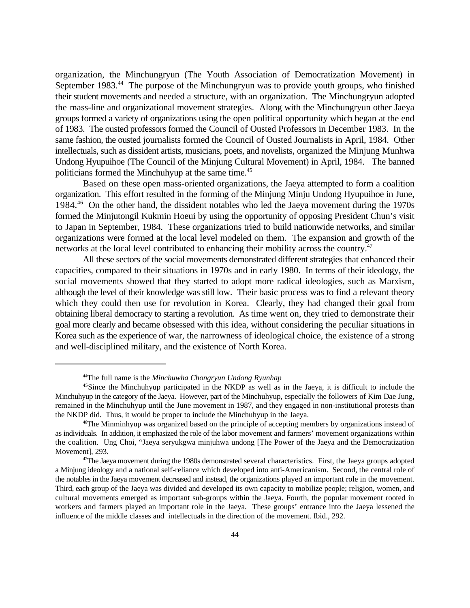organization, the Minchungryun (The Youth Association of Democratization Movement) in September 1983.<sup>44</sup> The purpose of the Minchungryun was to provide youth groups, who finished their student movements and needed a structure, with an organization. The Minchungryun adopted the mass-line and organizational movement strategies. Along with the Minchungryun other Jaeya groups formed a variety of organizations using the open political opportunity which began at the end of 1983. The ousted professors formed the Council of Ousted Professors in December 1983. In the same fashion, the ousted journalists formed the Council of Ousted Journalists in April, 1984. Other intellectuals, such as dissident artists, musicians, poets, and novelists, organized the Minjung Munhwa Undong Hyupuihoe (The Council of the Minjung Cultural Movement) in April, 1984. The banned politicians formed the Minchuhyup at the same time.<sup>45</sup>

Based on these open mass-oriented organizations, the Jaeya attempted to form a coalition organization. This effort resulted in the forming of the Minjung Minju Undong Hyupuihoe in June, 1984.<sup>46</sup> On the other hand, the dissident notables who led the Jaeya movement during the 1970s formed the Minjutongil Kukmin Hoeui by using the opportunity of opposing President Chun's visit to Japan in September, 1984. These organizations tried to build nationwide networks, and similar organizations were formed at the local level modeled on them. The expansion and growth of the networks at the local level contributed to enhancing their mobility across the country.<sup>47</sup>

All these sectors of the social movements demonstrated different strategies that enhanced their capacities, compared to their situations in 1970s and in early 1980. In terms of their ideology, the social movements showed that they started to adopt more radical ideologies, such as Marxism, although the level of their knowledge was still low. Their basic process was to find a relevant theory which they could then use for revolution in Korea. Clearly, they had changed their goal from obtaining liberal democracy to starting a revolution. As time went on, they tried to demonstrate their goal more clearly and became obsessed with this idea, without considering the peculiar situations in Korea such as the experience of war, the narrowness of ideological choice, the existence of a strong and well-disciplined military, and the existence of North Korea.

The full name is the *Minchuwha Chongryun Undong Ryunhap* <sup>44</sup>

<sup>&</sup>lt;sup>45</sup>Since the Minchuhyup participated in the NKDP as well as in the Jaeya, it is difficult to include the Minchuhyup in the category of the Jaeya. However, part of the Minchuhyup, especially the followers of Kim Dae Jung, remained in the Minchuhyup until the June movement in 1987, and they engaged in non-institutional protests than the NKDP did. Thus, it would be proper to include the Minchuhyup in the Jaeya.

<sup>&</sup>lt;sup>46</sup>The Minminhyup was organized based on the principle of accepting members by organizations instead of as individuals. In addition, it emphasized the role of the labor movement and farmers' movement organizations within the coalition. Ung Choi, "Jaeya seryukgwa minjuhwa undong [The Power of the Jaeya and the Democratization Movement], 293.

 $47$ The Jaeya movement during the 1980s demonstrated several characteristics. First, the Jaeya groups adopted a Minjung ideology and a national self-reliance which developed into anti-Americanism. Second, the central role of the notables in the Jaeya movement decreased and instead, the organizations played an important role in the movement. Third, each group of the Jaeya was divided and developed its own capacity to mobilize people; religion, women, and cultural movements emerged as important sub-groups within the Jaeya. Fourth, the popular movement rooted in workers and farmers played an important role in the Jaeya. These groups' entrance into the Jaeya lessened the influence of the middle classes and intellectuals in the direction of the movement. Ibid., 292.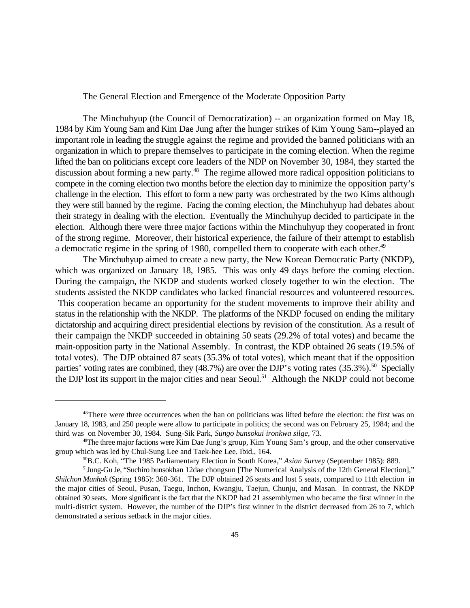The General Election and Emergence of the Moderate Opposition Party

The Minchuhyup (the Council of Democratization) -- an organization formed on May 18, 1984 by Kim Young Sam and Kim Dae Jung after the hunger strikes of Kim Young Sam--played an important role in leading the struggle against the regime and provided the banned politicians with an organization in which to prepare themselves to participate in the coming election. When the regime lifted the ban on politicians except core leaders of the NDP on November 30, 1984, they started the discussion about forming a new party.<sup>48</sup> The regime allowed more radical opposition politicians to compete in the coming election two months before the election day to minimize the opposition party's challenge in the election. This effort to form a new party was orchestrated by the two Kims although they were still banned by the regime. Facing the coming election, the Minchuhyup had debates about their strategy in dealing with the election. Eventually the Minchuhyup decided to participate in the election. Although there were three major factions within the Minchuhyup they cooperated in front of the strong regime. Moreover, their historical experience, the failure of their attempt to establish a democratic regime in the spring of 1980, compelled them to cooperate with each other.<sup>49</sup>

The Minchuhyup aimed to create a new party, the New Korean Democratic Party (NKDP), which was organized on January 18, 1985. This was only 49 days before the coming election. During the campaign, the NKDP and students worked closely together to win the election. The students assisted the NKDP candidates who lacked financial resources and volunteered resources. This cooperation became an opportunity for the student movements to improve their ability and status in the relationship with the NKDP. The platforms of the NKDP focused on ending the military dictatorship and acquiring direct presidential elections by revision of the constitution. As a result of their campaign the NKDP succeeded in obtaining 50 seats (29.2% of total votes) and became the main-opposition party in the National Assembly. In contrast, the KDP obtained 26 seats (19.5% of total votes). The DJP obtained 87 seats (35.3% of total votes), which meant that if the opposition parties' voting rates are combined, they  $(48.7%)$  are over the DJP's voting rates  $(35.3%)$ .<sup>50</sup> Specially the DJP lost its support in the major cities and near Seoul.<sup>51</sup> Although the NKDP could not become

<sup>&</sup>lt;sup>48</sup>There were three occurrences when the ban on politicians was lifted before the election: the first was on January 18, 1983, and 250 people were allow to participate in politics; the second was on February 25, 1984; and the third was on November 30, 1984. Sung-Sik Park, *Sungo bunsokui ironkwa silge*, 73.

<sup>&</sup>lt;sup>49</sup>The three major factions were Kim Dae Jung's group, Kim Young Sam's group, and the other conservative group which was led by Chul-Sung Lee and Taek-hee Lee. Ibid., 164.

<sup>&</sup>lt;sup>50</sup>B.C. Koh, "The 1985 Parliamentary Election in South Korea," *Asian Survey* (September 1985): 889.

 $<sup>51</sup>$ Jung-Gu Je, "Suchiro bunsokhan 12dae chongsun [The Numerical Analysis of the 12th General Election],"</sup> *Shilchon Munhak* (Spring 1985): 360-361. The DJP obtained 26 seats and lost 5 seats, compared to 11th election in the major cities of Seoul, Pusan, Taegu, Inchon, Kwangju, Taejun, Chunju, and Masan. In contrast, the NKDP obtained 30 seats. More significant is the fact that the NKDP had 21 assemblymen who became the first winner in the multi-district system. However, the number of the DJP's first winner in the district decreased from 26 to 7, which demonstrated a serious setback in the major cities.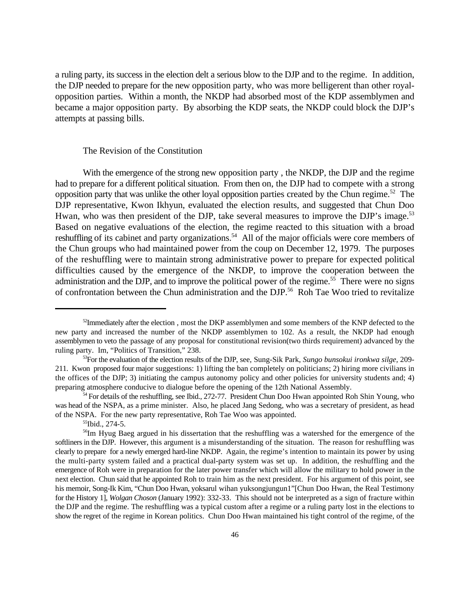a ruling party, its success in the election delt a serious blow to the DJP and to the regime. In addition, the DJP needed to prepare for the new opposition party, who was more belligerent than other royalopposition parties. Within a month, the NKDP had absorbed most of the KDP assemblymen and became a major opposition party. By absorbing the KDP seats, the NKDP could block the DJP's attempts at passing bills.

#### The Revision of the Constitution

With the emergence of the strong new opposition party , the NKDP, the DJP and the regime had to prepare for a different political situation. From then on, the DJP had to compete with a strong opposition party that was unlike the other loyal opposition parties created by the Chun regime.<sup>52</sup> The DJP representative, Kwon Ikhyun, evaluated the election results, and suggested that Chun Doo Hwan, who was then president of the DJP, take several measures to improve the DJP's image.<sup>53</sup> Based on negative evaluations of the election, the regime reacted to this situation with a broad reshuffling of its cabinet and party organizations.<sup>54</sup> All of the major officials were core members of the Chun groups who had maintained power from the coup on December 12, 1979. The purposes of the reshuffling were to maintain strong administrative power to prepare for expected political difficulties caused by the emergence of the NKDP, to improve the cooperation between the administration and the DJP, and to improve the political power of the regime.<sup>55</sup> There were no signs of confrontation between the Chun administration and the DJP.<sup>56</sup> Roh Tae Woo tried to revitalize

 $^{52}$ Immediately after the election, most the DKP assemblymen and some members of the KNP defected to the new party and increased the number of the NKDP assemblymen to 102. As a result, the NKDP had enough assemblymen to veto the passage of any proposal for constitutional revision(two thirds requirement) advanced by the ruling party. Im, "Politics of Transition," 238.

<sup>&</sup>lt;sup>53</sup> For the evaluation of the election results of the DJP, see, Sung-Sik Park, *Sungo bunsokui ironkwa silge*, 209-211. Kwon proposed four major suggestions: 1) lifting the ban completely on politicians; 2) hiring more civilians in the offices of the DJP; 3) initiating the campus autonomy policy and other policies for university students and; 4) preparing atmosphere conducive to dialogue before the opening of the 12th National Assembly.

<sup>&</sup>lt;sup>54</sup> For details of the reshuffling, see Ibid., 272-77. President Chun Doo Hwan appointed Roh Shin Young, who was head of the NSPA, as a prime minister. Also, he placed Jang Sedong, who was a secretary of president, as head of the NSPA. For the new party representative, Roh Tae Woo was appointed.

 $^{55}$ Ibid., 274-5.

<sup>&</sup>lt;sup>56</sup>Im Hyug Baeg argued in his dissertation that the reshuffling was a watershed for the emergence of the softliners in the DJP. However, this argument is a misunderstanding of the situation. The reason for reshuffling was clearly to prepare for a newly emerged hard-line NKDP. Again, the regime's intention to maintain its power by using the multi-party system failed and a practical dual-party system was set up. In addition, the reshuffling and the emergence of Roh were in preparation for the later power transfer which will allow the military to hold power in the next election. Chun said that he appointed Roh to train him as the next president. For his argument of this point, see his memoir, Song-Ik Kim, "Chun Doo Hwan, yoksarul wihan yuksongjungun1"[Chun Doo Hwan, the Real Testimony for the History 1], *Wolgan Choson* (January 1992): 332-33. This should not be interpreted as a sign of fracture within the DJP and the regime. The reshuffling was a typical custom after a regime or a ruling party lost in the elections to show the regret of the regime in Korean politics. Chun Doo Hwan maintained his tight control of the regime, of the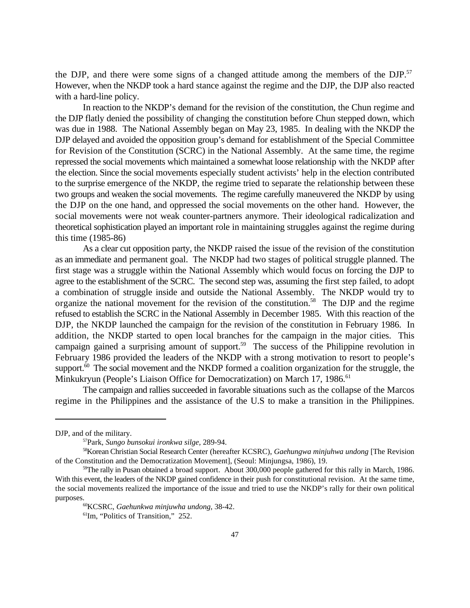the DJP, and there were some signs of a changed attitude among the members of the DJP.<sup>57</sup> However, when the NKDP took a hard stance against the regime and the DJP, the DJP also reacted with a hard-line policy.

In reaction to the NKDP's demand for the revision of the constitution, the Chun regime and the DJP flatly denied the possibility of changing the constitution before Chun stepped down, which was due in 1988. The National Assembly began on May 23, 1985. In dealing with the NKDP the DJP delayed and avoided the opposition group's demand for establishment of the Special Committee for Revision of the Constitution (SCRC) in the National Assembly. At the same time, the regime repressed the social movements which maintained a somewhat loose relationship with the NKDP after the election. Since the social movements especially student activists' help in the election contributed to the surprise emergence of the NKDP, the regime tried to separate the relationship between these two groups and weaken the social movements. The regime carefully maneuvered the NKDP by using the DJP on the one hand, and oppressed the social movements on the other hand. However, the social movements were not weak counter-partners anymore. Their ideological radicalization and theoretical sophistication played an important role in maintaining struggles against the regime during this time (1985-86)

As a clear cut opposition party, the NKDP raised the issue of the revision of the constitution as an immediate and permanent goal. The NKDP had two stages of political struggle planned. The first stage was a struggle within the National Assembly which would focus on forcing the DJP to agree to the establishment of the SCRC. The second step was, assuming the first step failed, to adopt a combination of struggle inside and outside the National Assembly. The NKDP would try to organize the national movement for the revision of the constitution.<sup>58</sup> The DJP and the regime refused to establish the SCRC in the National Assembly in December 1985. With this reaction of the DJP, the NKDP launched the campaign for the revision of the constitution in February 1986. In addition, the NKDP started to open local branches for the campaign in the major cities. This campaign gained a surprising amount of support.<sup>59</sup> The success of the Philippine revolution in February 1986 provided the leaders of the NKDP with a strong motivation to resort to people's support.<sup> $60$ </sup> The social movement and the NKDP formed a coalition organization for the struggle, the Minkukryun (People's Liaison Office for Democratization) on March 17, 1986.<sup>61</sup>

The campaign and rallies succeeded in favorable situations such as the collapse of the Marcos regime in the Philippines and the assistance of the U.S to make a transition in the Philippines.

DJP, and of the military.

Park, *Sungo bunsokui ironkwa silge,* 289-94. <sup>57</sup>

<sup>&</sup>lt;sup>58</sup>Korean Christian Social Research Center (hereafter KCSRC), *Gaehungwa minjuhwa undong* [The Revision of the Constitution and the Democratization Movement], (Seoul: Minjungsa, 1986), 19.

<sup>&</sup>lt;sup>59</sup>The rally in Pusan obtained a broad support. About 300,000 people gathered for this rally in March, 1986. With this event, the leaders of the NKDP gained confidence in their push for constitutional revision. At the same time, the social movements realized the importance of the issue and tried to use the NKDP's rally for their own political purposes.

KCSRC, *Gaehunkwa minjuwha undong,* 38-42. <sup>60</sup>

 ${}^{61}$ Im, "Politics of Transition," 252.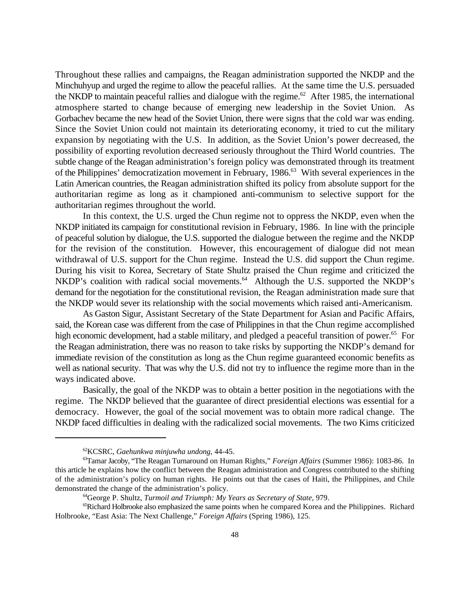Throughout these rallies and campaigns, the Reagan administration supported the NKDP and the Minchuhyup and urged the regime to allow the peaceful rallies. At the same time the U.S. persuaded the NKDP to maintain peaceful rallies and dialogue with the regime.<sup> $62$ </sup> After 1985, the international atmosphere started to change because of emerging new leadership in the Soviet Union. As Gorbachev became the new head of the Soviet Union, there were signs that the cold war was ending. Since the Soviet Union could not maintain its deteriorating economy, it tried to cut the military expansion by negotiating with the U.S. In addition, as the Soviet Union's power decreased, the possibility of exporting revolution decreased seriously throughout the Third World countries. The subtle change of the Reagan administration's foreign policy was demonstrated through its treatment of the Philippines' democratization movement in February, 1986.<sup>63</sup> With several experiences in the Latin American countries, the Reagan administration shifted its policy from absolute support for the authoritarian regime as long as it championed anti-communism to selective support for the authoritarian regimes throughout the world.

In this context, the U.S. urged the Chun regime not to oppress the NKDP, even when the NKDP initiated its campaign for constitutional revision in February, 1986. In line with the principle of peaceful solution by dialogue, the U.S. supported the dialogue between the regime and the NKDP for the revision of the constitution. However, this encouragement of dialogue did not mean withdrawal of U.S. support for the Chun regime. Instead the U.S. did support the Chun regime. During his visit to Korea, Secretary of State Shultz praised the Chun regime and criticized the NKDP's coalition with radical social movements. $^{64}$  Although the U.S. supported the NKDP's demand for the negotiation for the constitutional revision, the Reagan administration made sure that the NKDP would sever its relationship with the social movements which raised anti-Americanism.

As Gaston Sigur, Assistant Secretary of the State Department for Asian and Pacific Affairs, said, the Korean case was different from the case of Philippines in that the Chun regime accomplished high economic development, had a stable military, and pledged a peaceful transition of power.<sup>65</sup> For the Reagan administration, there was no reason to take risks by supporting the NKDP's demand for immediate revision of the constitution as long as the Chun regime guaranteed economic benefits as well as national security. That was why the U.S. did not try to influence the regime more than in the ways indicated above.

Basically, the goal of the NKDP was to obtain a better position in the negotiations with the regime. The NKDP believed that the guarantee of direct presidential elections was essential for a democracy. However, the goal of the social movement was to obtain more radical change. The NKDP faced difficulties in dealing with the radicalized social movements. The two Kims criticized

<sup>&</sup>lt;sup>62</sup>KCSRC, *Gaehunkwa minjuwha undong*, 44-45.

<sup>&</sup>lt;sup>63</sup>Tamar Jacoby, "The Reagan Turnaround on Human Rights," *Foreign Affairs* (Summer 1986): 1083-86. In this article he explains how the conflict between the Reagan administration and Congress contributed to the shifting of the administration's policy on human rights. He points out that the cases of Haiti, the Philippines, and Chile demonstrated the change of the administration's policy.

<sup>&</sup>lt;sup>64</sup>George P. Shultz, Turmoil and Triumph: My Years as Secretary of State, 979.

 ${}^{65}$ Richard Holbrooke also emphasized the same points when he compared Korea and the Philippines. Richard Holbrooke, "East Asia: The Next Challenge," *Foreign Affairs* (Spring 1986), 125.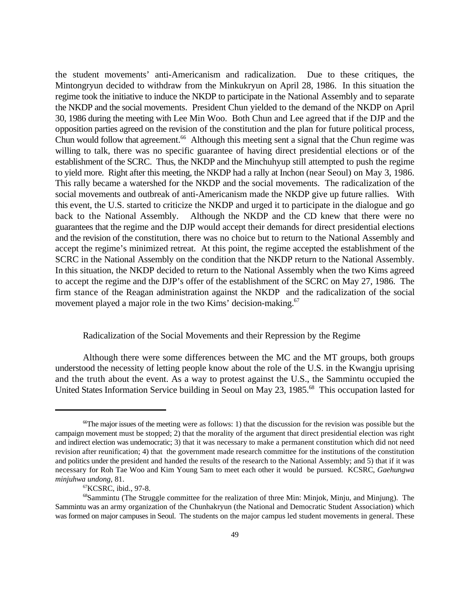the student movements' anti-Americanism and radicalization. Due to these critiques, the Mintongryun decided to withdraw from the Minkukryun on April 28, 1986. In this situation the regime took the initiative to induce the NKDP to participate in the National Assembly and to separate the NKDP and the social movements. President Chun yielded to the demand of the NKDP on April 30, 1986 during the meeting with Lee Min Woo. Both Chun and Lee agreed that if the DJP and the opposition parties agreed on the revision of the constitution and the plan for future political process, Chun would follow that agreement.<sup> $66$ </sup> Although this meeting sent a signal that the Chun regime was willing to talk, there was no specific guarantee of having direct presidential elections or of the establishment of the SCRC. Thus, the NKDP and the Minchuhyup still attempted to push the regime to yield more. Right after this meeting, the NKDP had a rally at Inchon (near Seoul) on May 3, 1986. This rally became a watershed for the NKDP and the social movements. The radicalization of the social movements and outbreak of anti-Americanism made the NKDP give up future rallies. With this event, the U.S. started to criticize the NKDP and urged it to participate in the dialogue and go back to the National Assembly. Although the NKDP and the CD knew that there were no guarantees that the regime and the DJP would accept their demands for direct presidential elections and the revision of the constitution, there was no choice but to return to the National Assembly and accept the regime's minimized retreat. At this point, the regime accepted the establishment of the SCRC in the National Assembly on the condition that the NKDP return to the National Assembly. In this situation, the NKDP decided to return to the National Assembly when the two Kims agreed to accept the regime and the DJP's offer of the establishment of the SCRC on May 27, 1986. The firm stance of the Reagan administration against the NKDP and the radicalization of the social movement played a major role in the two Kims' decision-making.<sup>67</sup>

### Radicalization of the Social Movements and their Repression by the Regime

Although there were some differences between the MC and the MT groups, both groups understood the necessity of letting people know about the role of the U.S. in the Kwangju uprising and the truth about the event. As a way to protest against the U.S., the Sammintu occupied the United States Information Service building in Seoul on May 23, 1985.<sup>68</sup> This occupation lasted for

 $\sigma$ The major issues of the meeting were as follows: 1) that the discussion for the revision was possible but the campaign movement must be stopped; 2) that the morality of the argument that direct presidential election was right and indirect election was undemocratic; 3) that it was necessary to make a permanent constitution which did not need revision after reunification; 4) that the government made research committee for the institutions of the constitution and politics under the president and handed the results of the research to the National Assembly; and 5) that if it was necessary for Roh Tae Woo and Kim Young Sam to meet each other it would be pursued. KCSRC, *Gaehungwa minjuhwa undong*, 81.

 ${}^{67}$ KCSRC, ibid., 97-8.

<sup>&</sup>lt;sup>68</sup>Sammintu (The Struggle committee for the realization of three Min: Minjok, Minju, and Minjung). The Sammintu was an army organization of the Chunhakryun (the National and Democratic Student Association) which was formed on major campuses in Seoul. The students on the major campus led student movements in general. These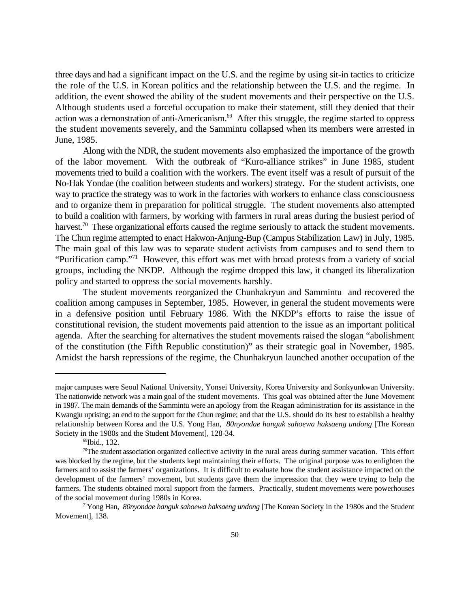three days and had a significant impact on the U.S. and the regime by using sit-in tactics to criticize the role of the U.S. in Korean politics and the relationship between the U.S. and the regime. In addition, the event showed the ability of the student movements and their perspective on the U.S. Although students used a forceful occupation to make their statement, still they denied that their action was a demonstration of anti-Americanism.<sup> $69$ </sup> After this struggle, the regime started to oppress the student movements severely, and the Sammintu collapsed when its members were arrested in June, 1985.

Along with the NDR, the student movements also emphasized the importance of the growth of the labor movement. With the outbreak of "Kuro-alliance strikes" in June 1985, student movements tried to build a coalition with the workers. The event itself was a result of pursuit of the No-Hak Yondae (the coalition between students and workers) strategy. For the student activists, one way to practice the strategy was to work in the factories with workers to enhance class consciousness and to organize them in preparation for political struggle. The student movements also attempted to build a coalition with farmers, by working with farmers in rural areas during the busiest period of harvest.<sup>70</sup> These organizational efforts caused the regime seriously to attack the student movements. The Chun regime attempted to enact Hakwon-Anjung-Bup (Campus Stabilization Law) in July, 1985. The main goal of this law was to separate student activists from campuses and to send them to "Purification camp."<sup>71</sup> However, this effort was met with broad protests from a variety of social groups, including the NKDP. Although the regime dropped this law, it changed its liberalization policy and started to oppress the social movements harshly.

The student movements reorganized the Chunhakryun and Sammintu and recovered the coalition among campuses in September, 1985. However, in general the student movements were in a defensive position until February 1986. With the NKDP's efforts to raise the issue of constitutional revision, the student movements paid attention to the issue as an important political agenda. After the searching for alternatives the student movements raised the slogan "abolishment of the constitution (the Fifth Republic constitution)" as their strategic goal in November, 1985. Amidst the harsh repressions of the regime, the Chunhakryun launched another occupation of the

major campuses were Seoul National University, Yonsei University, Korea University and Sonkyunkwan University. The nationwide network was a main goal of the student movements. This goal was obtained after the June Movement in 1987. The main demands of the Sammintu were an apology from the Reagan administration for its assistance in the Kwangju uprising; an end to the support for the Chun regime; and that the U.S. should do its best to establish a healthy relationship between Korea and the U.S. Yong Han, *80nyondae hanguk sahoewa haksaeng undong* [The Korean Society in the 1980s and the Student Movement], 128-34.

 $^{69}$ Ibid., 132.

 $\sigma$ The student association organized collective activity in the rural areas during summer vacation. This effort was blocked by the regime, but the students kept maintaining their efforts. The original purpose was to enlighten the farmers and to assist the farmers' organizations. It is difficult to evaluate how the student assistance impacted on the development of the farmers' movement, but students gave them the impression that they were trying to help the farmers. The students obtained moral support from the farmers. Practically, student movements were powerhouses of the social movement during 1980s in Korea.

<sup>&</sup>lt;sup>71</sup>Yong Han, *80nyondae hanguk sahoewa haksaeng undong* [The Korean Society in the 1980s and the Student Movement], 138.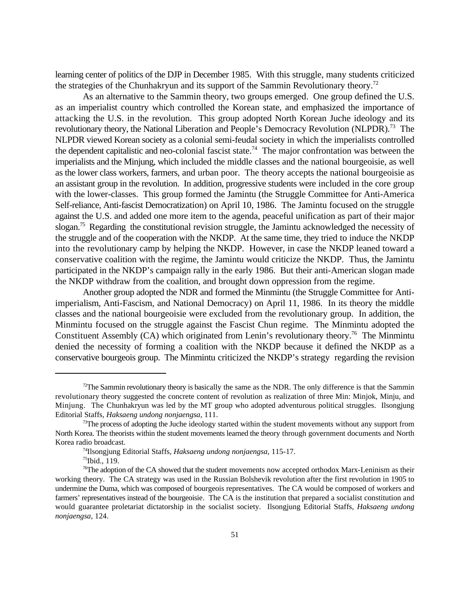learning center of politics of the DJP in December 1985. With this struggle, many students criticized the strategies of the Chunhakryun and its support of the Sammin Revolutionary theory.<sup>72</sup>

As an alternative to the Sammin theory, two groups emerged. One group defined the U.S. as an imperialist country which controlled the Korean state, and emphasized the importance of attacking the U.S. in the revolution. This group adopted North Korean Juche ideology and its revolutionary theory, the National Liberation and People's Democracy Revolution (NLPDR).<sup>73</sup> The NLPDR viewed Korean society as a colonial semi-feudal society in which the imperialists controlled the dependent capitalistic and neo-colonial fascist state.<sup>74</sup> The major confrontation was between the imperialists and the Minjung, which included the middle classes and the national bourgeoisie, as well as the lower class workers, farmers, and urban poor. The theory accepts the national bourgeoisie as an assistant group in the revolution. In addition, progressive students were included in the core group with the lower-classes. This group formed the Jamintu (the Struggle Committee for Anti-America Self-reliance, Anti-fascist Democratization) on April 10, 1986. The Jamintu focused on the struggle against the U.S. and added one more item to the agenda, peaceful unification as part of their major slogan.<sup>75</sup> Regarding the constitutional revision struggle, the Jamintu acknowledged the necessity of the struggle and of the cooperation with the NKDP. At the same time, they tried to induce the NKDP into the revolutionary camp by helping the NKDP. However, in case the NKDP leaned toward a conservative coalition with the regime, the Jamintu would criticize the NKDP. Thus, the Jamintu participated in the NKDP's campaign rally in the early 1986. But their anti-American slogan made the NKDP withdraw from the coalition, and brought down oppression from the regime.

Another group adopted the NDR and formed the Minmintu (the Struggle Committee for Antiimperialism, Anti-Fascism, and National Democracy) on April 11, 1986. In its theory the middle classes and the national bourgeoisie were excluded from the revolutionary group. In addition, the Minmintu focused on the struggle against the Fascist Chun regime. The Minmintu adopted the Constituent Assembly (CA) which originated from Lenin's revolutionary theory.<sup>76</sup> The Minmintu denied the necessity of forming a coalition with the NKDP because it defined the NKDP as a conservative bourgeois group. The Minmintu criticized the NKDP's strategy regarding the revision

<sup>&</sup>lt;sup>72</sup>The Sammin revolutionary theory is basically the same as the NDR. The only difference is that the Sammin revolutionary theory suggested the concrete content of revolution as realization of three Min: Minjok, Minju, and Minjung. The Chunhakryun was led by the MT group who adopted adventurous political struggles. Ilsongjung Editorial Staffs, *Haksaeng undong nonjaengsa*, 111.

 $73$ The process of adopting the Juche ideology started within the student movements without any support from North Korea. The theorists within the student movements learned the theory through government documents and North Korea radio broadcast.

<sup>&</sup>lt;sup>74</sup>Ilsongjung Editorial Staffs, *Haksaeng undong nonjaengsa*, 115-17.

 $75$ Ibid., 119.

<sup>&</sup>lt;sup>76</sup>The adoption of the CA showed that the student movements now accepted orthodox Marx-Leninism as their working theory. The CA strategy was used in the Russian Bolshevik revolution after the first revolution in 1905 to undermine the Duma, which was composed of bourgeois representatives. The CA would be composed of workers and farmers' representatives instead of the bourgeoisie. The CA is the institution that prepared a socialist constitution and would guarantee proletariat dictatorship in the socialist society. Ilsongjung Editorial Staffs, *Haksaeng undong nonjaengsa*, 124.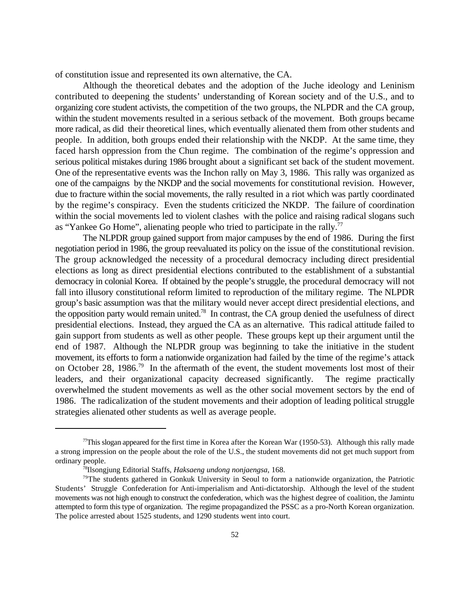of constitution issue and represented its own alternative, the CA.

Although the theoretical debates and the adoption of the Juche ideology and Leninism contributed to deepening the students' understanding of Korean society and of the U.S., and to organizing core student activists, the competition of the two groups, the NLPDR and the CA group, within the student movements resulted in a serious setback of the movement. Both groups became more radical, as did their theoretical lines, which eventually alienated them from other students and people. In addition, both groups ended their relationship with the NKDP. At the same time, they faced harsh oppression from the Chun regime. The combination of the regime's oppression and serious political mistakes during 1986 brought about a significant set back of the student movement. One of the representative events was the Inchon rally on May 3, 1986. This rally was organized as one of the campaigns by the NKDP and the social movements for constitutional revision. However, due to fracture within the social movements, the rally resulted in a riot which was partly coordinated by the regime's conspiracy. Even the students criticized the NKDP. The failure of coordination within the social movements led to violent clashes with the police and raising radical slogans such as "Yankee Go Home", alienating people who tried to participate in the rally.<sup>77</sup>

The NLPDR group gained support from major campuses by the end of 1986. During the first negotiation period in 1986, the group reevaluated its policy on the issue of the constitutional revision. The group acknowledged the necessity of a procedural democracy including direct presidential elections as long as direct presidential elections contributed to the establishment of a substantial democracy in colonial Korea. If obtained by the people's struggle, the procedural democracy will not fall into illusory constitutional reform limited to reproduction of the military regime. The NLPDR group's basic assumption was that the military would never accept direct presidential elections, and the opposition party would remain united.<sup>78</sup> In contrast, the CA group denied the usefulness of direct presidential elections. Instead, they argued the CA as an alternative. This radical attitude failed to gain support from students as well as other people. These groups kept up their argument until the end of 1987. Although the NLPDR group was beginning to take the initiative in the student movement, its efforts to form a nationwide organization had failed by the time of the regime's attack on October 28, 1986.<sup>79</sup> In the aftermath of the event, the student movements lost most of their leaders, and their organizational capacity decreased significantly. The regime practically overwhelmed the student movements as well as the other social movement sectors by the end of 1986. The radicalization of the student movements and their adoption of leading political struggle strategies alienated other students as well as average people.

 $T$ This slogan appeared for the first time in Korea after the Korean War (1950-53). Although this rally made a strong impression on the people about the role of the U.S., the student movements did not get much support from ordinary people.

<sup>&</sup>lt;sup>78</sup>Ilsongjung Editorial Staffs, *Haksaeng undong nonjaengsa*, 168.

 $79$ The students gathered in Gonkuk University in Seoul to form a nationwide organization, the Patriotic Students' Struggle Confederation for Anti-imperialism and Anti-dictatorship. Although the level of the student movements was not high enough to construct the confederation, which was the highest degree of coalition, the Jamintu attempted to form this type of organization. The regime propagandized the PSSC as a pro-North Korean organization. The police arrested about 1525 students, and 1290 students went into court.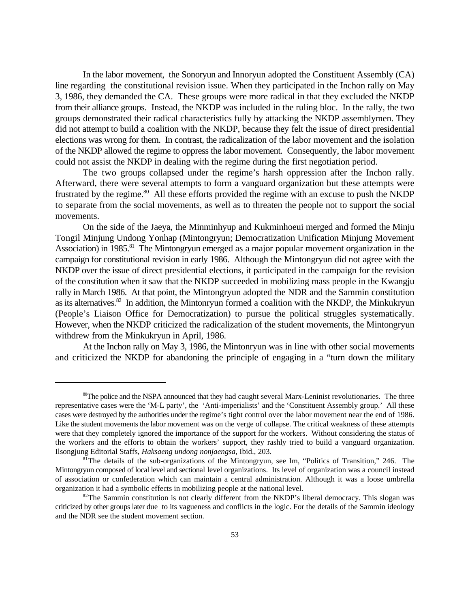In the labor movement, the Sonoryun and Innoryun adopted the Constituent Assembly (CA) line regarding the constitutional revision issue. When they participated in the Inchon rally on May 3, 1986, they demanded the CA. These groups were more radical in that they excluded the NKDP from their alliance groups. Instead, the NKDP was included in the ruling bloc. In the rally, the two groups demonstrated their radical characteristics fully by attacking the NKDP assemblymen. They did not attempt to build a coalition with the NKDP, because they felt the issue of direct presidential elections was wrong for them. In contrast, the radicalization of the labor movement and the isolation of the NKDP allowed the regime to oppress the labor movement. Consequently, the labor movement could not assist the NKDP in dealing with the regime during the first negotiation period.

The two groups collapsed under the regime's harsh oppression after the Inchon rally. Afterward, there were several attempts to form a vanguard organization but these attempts were frustrated by the regime.<sup>80</sup> All these efforts provided the regime with an excuse to push the NKDP to separate from the social movements, as well as to threaten the people not to support the social movements.

On the side of the Jaeya, the Minminhyup and Kukminhoeui merged and formed the Minju Tongil Minjung Undong Yonhap (Mintongryun; Democratization Unification Minjung Movement Association) in 1985.<sup>81</sup> The Mintongryun emerged as a major popular movement organization in the campaign for constitutional revision in early 1986. Although the Mintongryun did not agree with the NKDP over the issue of direct presidential elections, it participated in the campaign for the revision of the constitution when it saw that the NKDP succeeded in mobilizing mass people in the Kwangju rally in March 1986. At that point, the Mintongryun adopted the NDR and the Sammin constitution as its alternatives.<sup>82</sup> In addition, the Mintonryun formed a coalition with the NKDP, the Minkukryun (People's Liaison Office for Democratization) to pursue the political struggles systematically. However, when the NKDP criticized the radicalization of the student movements, the Mintongryun withdrew from the Minkukryun in April, 1986.

At the Inchon rally on May 3, 1986, the Mintonryun was in line with other social movements and criticized the NKDP for abandoning the principle of engaging in a "turn down the military

 $\degree$ The police and the NSPA announced that they had caught several Marx-Leninist revolutionaries. The three representative cases were the 'M-L party', the 'Anti-imperialists' and the 'Constituent Assembly group.' All these cases were destroyed by the authorities under the regime's tight control over the labor movement near the end of 1986. Like the student movements the labor movement was on the verge of collapse. The critical weakness of these attempts were that they completely ignored the importance of the support for the workers. Without considering the status of the workers and the efforts to obtain the workers' support, they rashly tried to build a vanguard organization. Ilsongjung Editorial Staffs, *Haksaeng undong nonjaengsa*, Ibid., 203.

<sup>&</sup>lt;sup>81</sup>The details of the sub-organizations of the Mintongryun, see Im, "Politics of Transition," 246. The Mintongryun composed of local level and sectional level organizations. Its level of organization was a council instead of association or confederation which can maintain a central administration. Although it was a loose umbrella organization it had a symbolic effects in mobilizing people at the national level.

 $82$ The Sammin constitution is not clearly different from the NKDP's liberal democracy. This slogan was criticized by other groups later due to its vagueness and conflicts in the logic. For the details of the Sammin ideology and the NDR see the student movement section.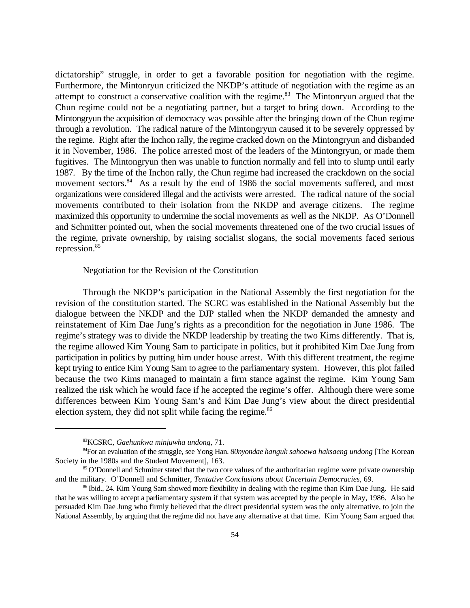dictatorship" struggle, in order to get a favorable position for negotiation with the regime. Furthermore, the Mintonryun criticized the NKDP's attitude of negotiation with the regime as an attempt to construct a conservative coalition with the regime. $83$  The Mintonryun argued that the Chun regime could not be a negotiating partner, but a target to bring down. According to the Mintongryun the acquisition of democracy was possible after the bringing down of the Chun regime through a revolution. The radical nature of the Mintongryun caused it to be severely oppressed by the regime. Right after the Inchon rally, the regime cracked down on the Mintongryun and disbanded it in November, 1986. The police arrested most of the leaders of the Mintongryun, or made them fugitives. The Mintongryun then was unable to function normally and fell into to slump until early 1987. By the time of the Inchon rally, the Chun regime had increased the crackdown on the social movement sectors.<sup>84</sup> As a result by the end of 1986 the social movements suffered, and most organizations were considered illegal and the activists were arrested. The radical nature of the social movements contributed to their isolation from the NKDP and average citizens. The regime maximized this opportunity to undermine the social movements as well as the NKDP. As O'Donnell and Schmitter pointed out, when the social movements threatened one of the two crucial issues of the regime, private ownership, by raising socialist slogans, the social movements faced serious repression.<sup>85</sup>

Negotiation for the Revision of the Constitution

Through the NKDP's participation in the National Assembly the first negotiation for the revision of the constitution started. The SCRC was established in the National Assembly but the dialogue between the NKDP and the DJP stalled when the NKDP demanded the amnesty and reinstatement of Kim Dae Jung's rights as a precondition for the negotiation in June 1986. The regime's strategy was to divide the NKDP leadership by treating the two Kims differently. That is, the regime allowed Kim Young Sam to participate in politics, but it prohibited Kim Dae Jung from participation in politics by putting him under house arrest. With this different treatment, the regime kept trying to entice Kim Young Sam to agree to the parliamentary system. However, this plot failed because the two Kims managed to maintain a firm stance against the regime. Kim Young Sam realized the risk which he would face if he accepted the regime's offer. Although there were some differences between Kim Young Sam's and Kim Dae Jung's view about the direct presidential election system, they did not split while facing the regime.<sup>86</sup>

KCSRC, *Gaehunkwa minjuwha undong*, 71. <sup>83</sup>

<sup>&</sup>lt;sup>84</sup> For an evaluation of the struggle, see Yong Han. *80nyondae hanguk sahoewa haksaeng undong* [The Korean Society in the 1980s and the Student Movement], 163.

<sup>&</sup>lt;sup>85</sup> O'Donnell and Schmitter stated that the two core values of the authoritarian regime were private ownership and the military. O'Donnell and Schmitter, *Tentative Conclusions about Uncertain Democracies*, 69.

<sup>&</sup>lt;sup>86</sup> Ibid., 24. Kim Young Sam showed more flexibility in dealing with the regime than Kim Dae Jung. He said that he was willing to accept a parliamentary system if that system was accepted by the people in May, 1986. Also he persuaded Kim Dae Jung who firmly believed that the direct presidential system was the only alternative, to join the National Assembly, by arguing that the regime did not have any alternative at that time. Kim Young Sam argued that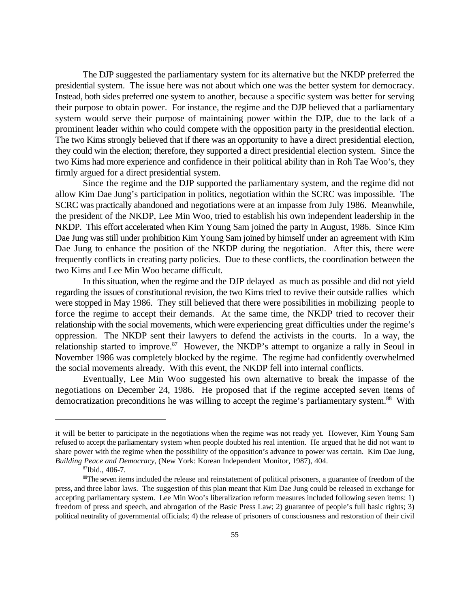The DJP suggested the parliamentary system for its alternative but the NKDP preferred the presidential system. The issue here was not about which one was the better system for democracy. Instead, both sides preferred one system to another, because a specific system was better for serving their purpose to obtain power. For instance, the regime and the DJP believed that a parliamentary system would serve their purpose of maintaining power within the DJP, due to the lack of a prominent leader within who could compete with the opposition party in the presidential election. The two Kims strongly believed that if there was an opportunity to have a direct presidential election, they could win the election; therefore, they supported a direct presidential election system. Since the two Kims had more experience and confidence in their political ability than in Roh Tae Woo's, they firmly argued for a direct presidential system.

Since the regime and the DJP supported the parliamentary system, and the regime did not allow Kim Dae Jung's participation in politics, negotiation within the SCRC was impossible. The SCRC was practically abandoned and negotiations were at an impasse from July 1986. Meanwhile, the president of the NKDP, Lee Min Woo, tried to establish his own independent leadership in the NKDP. This effort accelerated when Kim Young Sam joined the party in August, 1986. Since Kim Dae Jung was still under prohibition Kim Young Sam joined by himself under an agreement with Kim Dae Jung to enhance the position of the NKDP during the negotiation. After this, there were frequently conflicts in creating party policies. Due to these conflicts, the coordination between the two Kims and Lee Min Woo became difficult.

In this situation, when the regime and the DJP delayed as much as possible and did not yield regarding the issues of constitutional revision, the two Kims tried to revive their outside rallies which were stopped in May 1986. They still believed that there were possibilities in mobilizing people to force the regime to accept their demands. At the same time, the NKDP tried to recover their relationship with the social movements, which were experiencing great difficulties under the regime's oppression. The NKDP sent their lawyers to defend the activists in the courts. In a way, the relationship started to improve.<sup>87</sup> However, the NKDP's attempt to organize a rally in Seoul in November 1986 was completely blocked by the regime. The regime had confidently overwhelmed the social movements already. With this event, the NKDP fell into internal conflicts.

Eventually, Lee Min Woo suggested his own alternative to break the impasse of the negotiations on December 24, 1986. He proposed that if the regime accepted seven items of democratization preconditions he was willing to accept the regime's parliamentary system.<sup>88</sup> With

it will be better to participate in the negotiations when the regime was not ready yet. However, Kim Young Sam refused to accept the parliamentary system when people doubted his real intention. He argued that he did not want to share power with the regime when the possibility of the opposition's advance to power was certain. Kim Dae Jung, *Building Peace and Democracy*, (New York: Korean Independent Monitor, 1987), 404.

 $87$ Ibid., 406-7.

<sup>&</sup>lt;sup>88</sup>The seven items included the release and reinstatement of political prisoners, a guarantee of freedom of the press, and three labor laws. The suggestion of this plan meant that Kim Dae Jung could be released in exchange for accepting parliamentary system. Lee Min Woo's liberalization reform measures included following seven items: 1) freedom of press and speech, and abrogation of the Basic Press Law; 2) guarantee of people's full basic rights; 3) political neutrality of governmental officials; 4) the release of prisoners of consciousness and restoration of their civil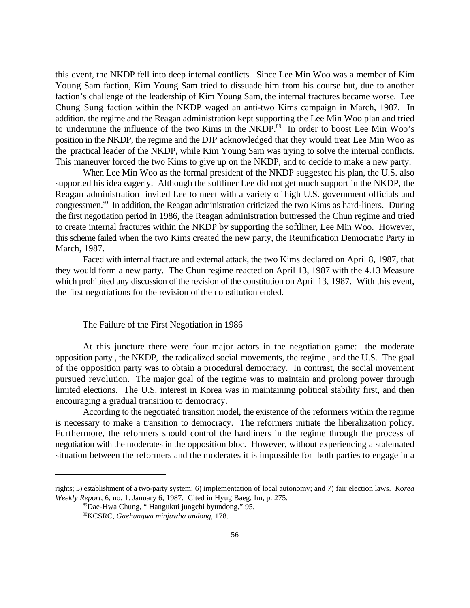this event, the NKDP fell into deep internal conflicts. Since Lee Min Woo was a member of Kim Young Sam faction, Kim Young Sam tried to dissuade him from his course but, due to another faction's challenge of the leadership of Kim Young Sam, the internal fractures became worse. Lee Chung Sung faction within the NKDP waged an anti-two Kims campaign in March, 1987. In addition, the regime and the Reagan administration kept supporting the Lee Min Woo plan and tried to undermine the influence of the two Kims in the NKDP.<sup>89</sup> In order to boost Lee Min Woo's position in the NKDP, the regime and the DJP acknowledged that they would treat Lee Min Woo as the practical leader of the NKDP, while Kim Young Sam was trying to solve the internal conflicts. This maneuver forced the two Kims to give up on the NKDP, and to decide to make a new party.

When Lee Min Woo as the formal president of the NKDP suggested his plan, the U.S. also supported his idea eagerly. Although the softliner Lee did not get much support in the NKDP, the Reagan administration invited Lee to meet with a variety of high U.S. government officials and congressmen.<sup>90</sup> In addition, the Reagan administration criticized the two Kims as hard-liners. During the first negotiation period in 1986, the Reagan administration buttressed the Chun regime and tried to create internal fractures within the NKDP by supporting the softliner, Lee Min Woo. However, this scheme failed when the two Kims created the new party, the Reunification Democratic Party in March, 1987.

Faced with internal fracture and external attack, the two Kims declared on April 8, 1987, that they would form a new party. The Chun regime reacted on April 13, 1987 with the 4.13 Measure which prohibited any discussion of the revision of the constitution on April 13, 1987. With this event, the first negotiations for the revision of the constitution ended.

### The Failure of the First Negotiation in 1986

At this juncture there were four major actors in the negotiation game: the moderate opposition party , the NKDP, the radicalized social movements, the regime , and the U.S. The goal of the opposition party was to obtain a procedural democracy. In contrast, the social movement pursued revolution. The major goal of the regime was to maintain and prolong power through limited elections. The U.S. interest in Korea was in maintaining political stability first, and then encouraging a gradual transition to democracy.

According to the negotiated transition model, the existence of the reformers within the regime is necessary to make a transition to democracy. The reformers initiate the liberalization policy. Furthermore, the reformers should control the hardliners in the regime through the process of negotiation with the moderates in the opposition bloc. However, without experiencing a stalemated situation between the reformers and the moderates it is impossible for both parties to engage in a

rights; 5) establishment of a two-party system; 6) implementation of local autonomy; and 7) fair election laws. *Korea Weekly Report*, 6, no. 1. January 6, 1987. Cited in Hyug Baeg, Im, p. 275.

<sup>&</sup>lt;sup>89</sup>Dae-Hwa Chung, "Hangukui jungchi byundong," 95.

<sup>&</sup>lt;sup>90</sup>KCSRC, *Gaehungwa minjuwha undong*, 178.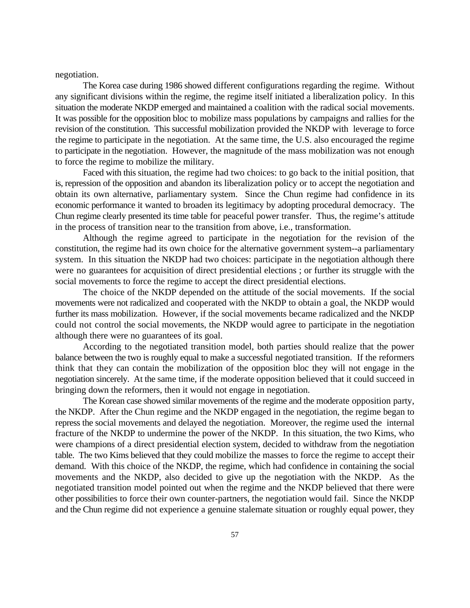negotiation.

The Korea case during 1986 showed different configurations regarding the regime. Without any significant divisions within the regime, the regime itself initiated a liberalization policy. In this situation the moderate NKDP emerged and maintained a coalition with the radical social movements. It was possible for the opposition bloc to mobilize mass populations by campaigns and rallies for the revision of the constitution. This successful mobilization provided the NKDP with leverage to force the regime to participate in the negotiation. At the same time, the U.S. also encouraged the regime to participate in the negotiation. However, the magnitude of the mass mobilization was not enough to force the regime to mobilize the military.

Faced with this situation, the regime had two choices: to go back to the initial position, that is, repression of the opposition and abandon its liberalization policy or to accept the negotiation and obtain its own alternative, parliamentary system. Since the Chun regime had confidence in its economic performance it wanted to broaden its legitimacy by adopting procedural democracy. The Chun regime clearly presented its time table for peaceful power transfer. Thus, the regime's attitude in the process of transition near to the transition from above, i.e., transformation.

Although the regime agreed to participate in the negotiation for the revision of the constitution, the regime had its own choice for the alternative government system--a parliamentary system. In this situation the NKDP had two choices: participate in the negotiation although there were no guarantees for acquisition of direct presidential elections ; or further its struggle with the social movements to force the regime to accept the direct presidential elections.

The choice of the NKDP depended on the attitude of the social movements. If the social movements were not radicalized and cooperated with the NKDP to obtain a goal, the NKDP would further its mass mobilization. However, if the social movements became radicalized and the NKDP could not control the social movements, the NKDP would agree to participate in the negotiation although there were no guarantees of its goal.

According to the negotiated transition model, both parties should realize that the power balance between the two is roughly equal to make a successful negotiated transition. If the reformers think that they can contain the mobilization of the opposition bloc they will not engage in the negotiation sincerely. At the same time, if the moderate opposition believed that it could succeed in bringing down the reformers, then it would not engage in negotiation.

The Korean case showed similar movements of the regime and the moderate opposition party, the NKDP. After the Chun regime and the NKDP engaged in the negotiation, the regime began to repress the social movements and delayed the negotiation. Moreover, the regime used the internal fracture of the NKDP to undermine the power of the NKDP. In this situation, the two Kims, who were champions of a direct presidential election system, decided to withdraw from the negotiation table. The two Kims believed that they could mobilize the masses to force the regime to accept their demand. With this choice of the NKDP, the regime, which had confidence in containing the social movements and the NKDP, also decided to give up the negotiation with the NKDP. As the negotiated transition model pointed out when the regime and the NKDP believed that there were other possibilities to force their own counter-partners, the negotiation would fail. Since the NKDP and the Chun regime did not experience a genuine stalemate situation or roughly equal power, they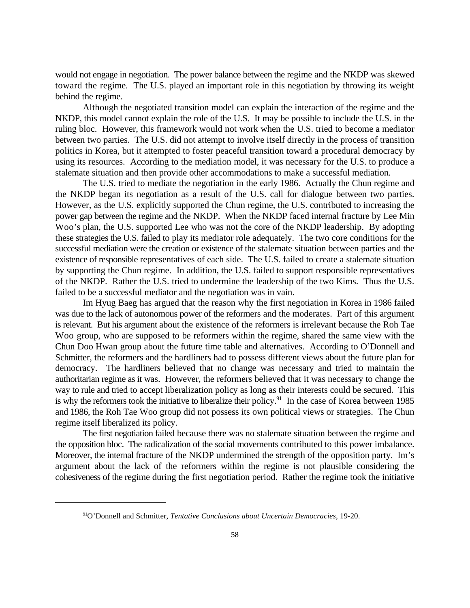would not engage in negotiation. The power balance between the regime and the NKDP was skewed toward the regime. The U.S. played an important role in this negotiation by throwing its weight behind the regime.

Although the negotiated transition model can explain the interaction of the regime and the NKDP, this model cannot explain the role of the U.S. It may be possible to include the U.S. in the ruling bloc. However, this framework would not work when the U.S. tried to become a mediator between two parties. The U.S. did not attempt to involve itself directly in the process of transition politics in Korea, but it attempted to foster peaceful transition toward a procedural democracy by using its resources. According to the mediation model, it was necessary for the U.S. to produce a stalemate situation and then provide other accommodations to make a successful mediation.

The U.S. tried to mediate the negotiation in the early 1986. Actually the Chun regime and the NKDP began its negotiation as a result of the U.S. call for dialogue between two parties. However, as the U.S. explicitly supported the Chun regime, the U.S. contributed to increasing the power gap between the regime and the NKDP. When the NKDP faced internal fracture by Lee Min Woo's plan, the U.S. supported Lee who was not the core of the NKDP leadership. By adopting these strategies the U.S. failed to play its mediator role adequately. The two core conditions for the successful mediation were the creation or existence of the stalemate situation between parties and the existence of responsible representatives of each side. The U.S. failed to create a stalemate situation by supporting the Chun regime. In addition, the U.S. failed to support responsible representatives of the NKDP. Rather the U.S. tried to undermine the leadership of the two Kims. Thus the U.S. failed to be a successful mediator and the negotiation was in vain.

Im Hyug Baeg has argued that the reason why the first negotiation in Korea in 1986 failed was due to the lack of autonomous power of the reformers and the moderates. Part of this argument is relevant. But his argument about the existence of the reformers is irrelevant because the Roh Tae Woo group, who are supposed to be reformers within the regime, shared the same view with the Chun Doo Hwan group about the future time table and alternatives. According to O'Donnell and Schmitter, the reformers and the hardliners had to possess different views about the future plan for democracy. The hardliners believed that no change was necessary and tried to maintain the authoritarian regime as it was. However, the reformers believed that it was necessary to change the way to rule and tried to accept liberalization policy as long as their interests could be secured. This is why the reformers took the initiative to liberalize their policy.<sup>91</sup> In the case of Korea between 1985 and 1986, the Roh Tae Woo group did not possess its own political views or strategies. The Chun regime itself liberalized its policy.

The first negotiation failed because there was no stalemate situation between the regime and the opposition bloc. The radicalization of the social movements contributed to this power imbalance. Moreover, the internal fracture of the NKDP undermined the strength of the opposition party. Im's argument about the lack of the reformers within the regime is not plausible considering the cohesiveness of the regime during the first negotiation period. Rather the regime took the initiative

<sup>&</sup>lt;sup>91</sup>O'Donnell and Schmitter, *Tentative Conclusions about Uncertain Democracies*, 19-20.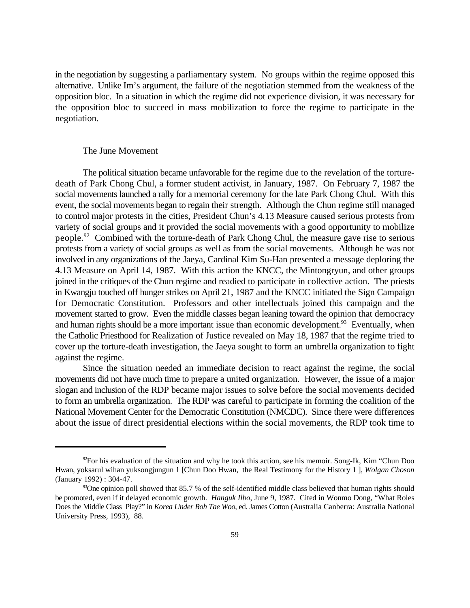in the negotiation by suggesting a parliamentary system. No groups within the regime opposed this alternative. Unlike Im's argument, the failure of the negotiation stemmed from the weakness of the opposition bloc. In a situation in which the regime did not experience division, it was necessary for the opposition bloc to succeed in mass mobilization to force the regime to participate in the negotiation.

#### The June Movement

The political situation became unfavorable for the regime due to the revelation of the torturedeath of Park Chong Chul, a former student activist, in January, 1987. On February 7, 1987 the social movements launched a rally for a memorial ceremony for the late Park Chong Chul. With this event, the social movements began to regain their strength. Although the Chun regime still managed to control major protests in the cities, President Chun's 4.13 Measure caused serious protests from variety of social groups and it provided the social movements with a good opportunity to mobilize people.<sup>92</sup> Combined with the torture-death of Park Chong Chul, the measure gave rise to serious protests from a variety of social groups as well as from the social movements. Although he was not involved in any organizations of the Jaeya, Cardinal Kim Su-Han presented a message deploring the 4.13 Measure on April 14, 1987. With this action the KNCC, the Mintongryun, and other groups joined in the critiques of the Chun regime and readied to participate in collective action. The priests in Kwangju touched off hunger strikes on April 21, 1987 and the KNCC initiated the Sign Campaign for Democratic Constitution. Professors and other intellectuals joined this campaign and the movement started to grow. Even the middle classes began leaning toward the opinion that democracy and human rights should be a more important issue than economic development.<sup>93</sup> Eventually, when the Catholic Priesthood for Realization of Justice revealed on May 18, 1987 that the regime tried to cover up the torture-death investigation, the Jaeya sought to form an umbrella organization to fight against the regime.

Since the situation needed an immediate decision to react against the regime, the social movements did not have much time to prepare a united organization. However, the issue of a major slogan and inclusion of the RDP became major issues to solve before the social movements decided to form an umbrella organization. The RDP was careful to participate in forming the coalition of the National Movement Center for the Democratic Constitution (NMCDC). Since there were differences about the issue of direct presidential elections within the social movements, the RDP took time to

 $^{92}$ For his evaluation of the situation and why he took this action, see his memoir. Song-Ik, Kim "Chun Doo" Hwan, yoksarul wihan yuksongjungun 1 [Chun Doo Hwan, the Real Testimony for the History 1 ], *Wolgan Choson* (January 1992) : 304-47.

 $\frac{93}{90}$  One opinion poll showed that 85.7 % of the self-identified middle class believed that human rights should be promoted, even if it delayed economic growth. *Hanguk Ilbo*, June 9, 1987. Cited in Wonmo Dong, "What Roles Does the Middle Class Play?" in *Korea Under Roh Tae Woo*, ed. James Cotton (Australia Canberra: Australia National University Press, 1993), 88.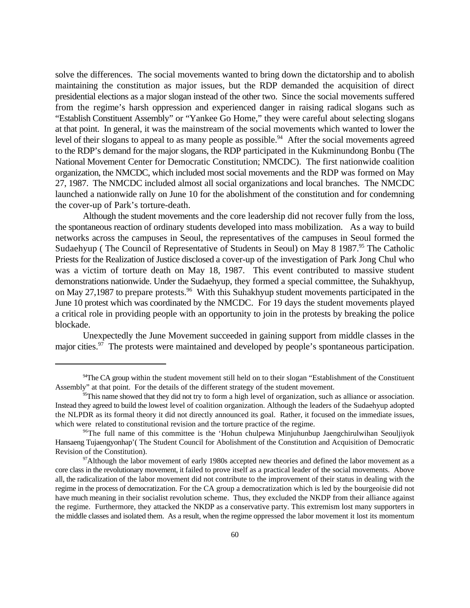solve the differences. The social movements wanted to bring down the dictatorship and to abolish maintaining the constitution as major issues, but the RDP demanded the acquisition of direct presidential elections as a major slogan instead of the other two. Since the social movements suffered from the regime's harsh oppression and experienced danger in raising radical slogans such as "Establish Constituent Assembly" or "Yankee Go Home," they were careful about selecting slogans at that point. In general, it was the mainstream of the social movements which wanted to lower the level of their slogans to appeal to as many people as possible.<sup>94</sup> After the social movements agreed to the RDP's demand for the major slogans, the RDP participated in the Kukminundong Bonbu (The National Movement Center for Democratic Constitution; NMCDC). The first nationwide coalition organization, the NMCDC, which included most social movements and the RDP was formed on May 27, 1987. The NMCDC included almost all social organizations and local branches. The NMCDC launched a nationwide rally on June 10 for the abolishment of the constitution and for condemning the cover-up of Park's torture-death.

Although the student movements and the core leadership did not recover fully from the loss, the spontaneous reaction of ordinary students developed into mass mobilization. As a way to build networks across the campuses in Seoul, the representatives of the campuses in Seoul formed the Sudaehyup (The Council of Representative of Students in Seoul) on May 8 1987.<sup>95</sup> The Catholic Priests for the Realization of Justice disclosed a cover-up of the investigation of Park Jong Chul who was a victim of torture death on May 18, 1987. This event contributed to massive student demonstrations nationwide. Under the Sudaehyup, they formed a special committee, the Suhakhyup, on May 27,1987 to prepare protests.<sup>96</sup> With this Suhakhyup student movements participated in the June 10 protest which was coordinated by the NMCDC. For 19 days the student movements played a critical role in providing people with an opportunity to join in the protests by breaking the police blockade.

Unexpectedly the June Movement succeeded in gaining support from middle classes in the major cities.<sup>97</sup> The protests were maintained and developed by people's spontaneous participation.

<sup>&</sup>lt;sup>94</sup>The CA group within the student movement still held on to their slogan "Establishment of the Constituent" Assembly" at that point. For the details of the different strategy of the student movement.

 $\frac{95}{5}$ This name showed that they did not try to form a high level of organization, such as alliance or association. Instead they agreed to build the lowest level of coalition organization. Although the leaders of the Sudaehyup adopted the NLPDR as its formal theory it did not directly announced its goal. Rather, it focused on the immediate issues, which were related to constitutional revision and the torture practice of the regime.

<sup>&</sup>lt;sup>96</sup>The full name of this committee is the 'Hohun chulpewa Minjuhunbup Jaengchirulwihan Seouljiyok Hansaeng Tujaengyonhap'( The Student Council for Abolishment of the Constitution and Acquisition of Democratic Revision of the Constitution).

 $\frac{97}{91}$  Although the labor movement of early 1980s accepted new theories and defined the labor movement as a core class in the revolutionary movement, it failed to prove itself as a practical leader of the social movements. Above all, the radicalization of the labor movement did not contribute to the improvement of their status in dealing with the regime in the process of democratization. For the CA group a democratization which is led by the bourgeoisie did not have much meaning in their socialist revolution scheme. Thus, they excluded the NKDP from their alliance against the regime. Furthermore, they attacked the NKDP as a conservative party. This extremism lost many supporters in the middle classes and isolated them. As a result, when the regime oppressed the labor movement it lost its momentum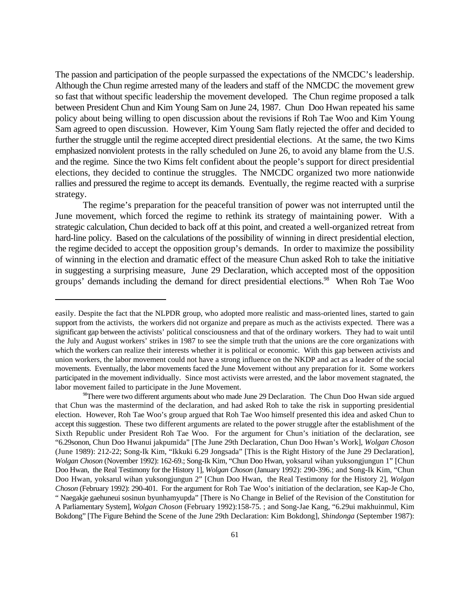The passion and participation of the people surpassed the expectations of the NMCDC's leadership. Although the Chun regime arrested many of the leaders and staff of the NMCDC the movement grew so fast that without specific leadership the movement developed. The Chun regime proposed a talk between President Chun and Kim Young Sam on June 24, 1987. Chun Doo Hwan repeated his same policy about being willing to open discussion about the revisions if Roh Tae Woo and Kim Young Sam agreed to open discussion. However, Kim Young Sam flatly rejected the offer and decided to further the struggle until the regime accepted direct presidential elections. At the same, the two Kims emphasized nonviolent protests in the rally scheduled on June 26, to avoid any blame from the U.S. and the regime. Since the two Kims felt confident about the people's support for direct presidential elections, they decided to continue the struggles. The NMCDC organized two more nationwide rallies and pressured the regime to accept its demands. Eventually, the regime reacted with a surprise strategy.

The regime's preparation for the peaceful transition of power was not interrupted until the June movement, which forced the regime to rethink its strategy of maintaining power. With a strategic calculation, Chun decided to back off at this point, and created a well-organized retreat from hard-line policy. Based on the calculations of the possibility of winning in direct presidential election, the regime decided to accept the opposition group's demands. In order to maximize the possibility of winning in the election and dramatic effect of the measure Chun asked Roh to take the initiative in suggesting a surprising measure, June 29 Declaration, which accepted most of the opposition groups' demands including the demand for direct presidential elections.<sup>98</sup> When Roh Tae Woo

easily. Despite the fact that the NLPDR group, who adopted more realistic and mass-oriented lines, started to gain support from the activists, the workers did not organize and prepare as much as the activists expected. There was a significant gap between the activists' political consciousness and that of the ordinary workers. They had to wait until the July and August workers' strikes in 1987 to see the simple truth that the unions are the core organizations with which the workers can realize their interests whether it is political or economic. With this gap between activists and union workers, the labor movement could not have a strong influence on the NKDP and act as a leader of the social movements. Eventually, the labor movements faced the June Movement without any preparation for it. Some workers participated in the movement individually. Since most activists were arrested, and the labor movement stagnated, the labor movement failed to participate in the June Movement.

<sup>&</sup>lt;sup>98</sup>There were two different arguments about who made June 29 Declaration. The Chun Doo Hwan side argued that Chun was the mastermind of the declaration, and had asked Roh to take the risk in supporting presidential election. However, Roh Tae Woo's group argued that Roh Tae Woo himself presented this idea and asked Chun to accept this suggestion. These two different arguments are related to the power struggle after the establishment of the Sixth Republic under President Roh Tae Woo. For the argument for Chun's initiation of the declaration, see "6.29sonon, Chun Doo Hwanui jakpumida" [The June 29th Declaration, Chun Doo Hwan's Work], *Wolgan Choson* (June 1989): 212-22; Song-Ik Kim, "Ikkuki 6.29 Jongsada" [This is the Right History of the June 29 Declaration], *Wolgan Choson* (November 1992): 162-69.; Song-Ik Kim, "Chun Doo Hwan, yoksarul wihan yuksongjungun 1" [Chun Doo Hwan, the Real Testimony for the History 1], *Wolgan Choson* (January 1992): 290-396.; and Song-Ik Kim, "Chun Doo Hwan, yoksarul wihan yuksongjungun 2" [Chun Doo Hwan, the Real Testimony for the History 2], *Wolgan Choson* (February 1992): 290-401. For the argument for Roh Tae Woo's initiation of the declaration, see Kap-Je Cho, " Naegakje gaehuneui sosinun byunhamyupda" [There is No Change in Belief of the Revision of the Constitution for A Parliamentary System], *Wolgan Choson* (February 1992):158-75. ; and Song-Jae Kang, "6.29ui makhuinmul, Kim Bokdong" [The Figure Behind the Scene of the June 29th Declaration: Kim Bokdong], *Shindonga* (September 1987):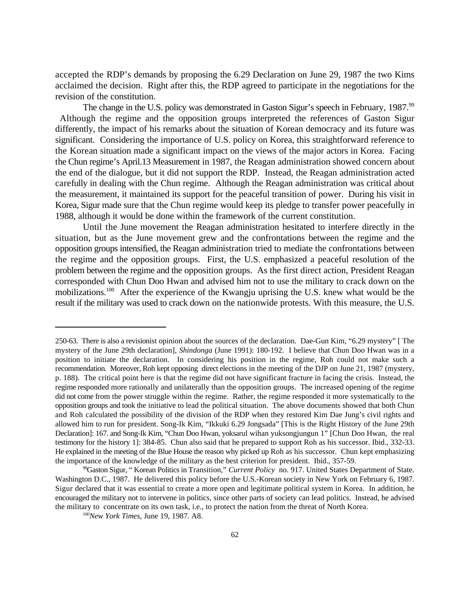accepted the RDP's demands by proposing the 6.29 Declaration on June 29, 1987 the two Kims acclaimed the decision. Right after this, the RDP agreed to participate in the negotiations for the revision of the constitution.

The change in the U.S. policy was demonstrated in Gaston Sigur's speech in February, 1987.<sup>99</sup> Although the regime and the opposition groups interpreted the references of Gaston Sigur differently, the impact of his remarks about the situation of Korean democracy and its future was significant. Considering the importance of U.S. policy on Korea, this straightforward reference to the Korean situation made a significant impact on the views of the major actors in Korea. Facing the Chun regime's April.13 Measurement in 1987, the Reagan administration showed concern about the end of the dialogue, but it did not support the RDP. Instead, the Reagan administration acted carefully in dealing with the Chun regime. Although the Reagan administration was critical about the measurement, it maintained its support for the peaceful transition of power. During his visit in Korea, Sigur made sure that the Chun regime would keep its pledge to transfer power peacefully in 1988, although it would be done within the framework of the current constitution.

Until the June movement the Reagan administration hesitated to interfere directly in the situation, but as the June movement grew and the confrontations between the regime and the opposition groups intensified, the Reagan administration tried to mediate the confrontations between the regime and the opposition groups. First, the U.S. emphasized a peaceful resolution of the problem between the regime and the opposition groups. As the first direct action, President Reagan corresponded with Chun Doo Hwan and advised him not to use the military to crack down on the mobilizations.<sup>100</sup> After the experience of the Kwangju uprising the U.S. knew what would be the result if the military was used to crack down on the nationwide protests. With this measure, the U.S.

<sup>250-63.</sup> There is also a revisionist opinion about the sources of the declaration. Dae-Gun Kim, "6.29 mystery" [ The mystery of the June 29th declaration], *Shindonga* (June 1991): 180-192. I believe that Chun Doo Hwan was in a position to initiate the declaration. In considering his position in the regime, Roh could not make such a recommendation. Moreover, Roh kept opposing direct elections in the meeting of the DJP on June 21, 1987 (mystery, p. 188). The critical point here is that the regime did not have significant fracture in facing the crisis. Instead, the regime responded more rationally and unilaterally than the opposition groups. The increased opening of the regime did not come from the power struggle within the regime. Rather, the regime responded it more systematically to the opposition groups and took the initiative to lead the political situation. The above documents showed that both Chun and Roh calculated the possibility of the division of the RDP when they restored Kim Dae Jung's civil rights and allowed him to run for president. Song-Ik Kim, "Ikkuki 6.29 Jongsada" [This is the Right History of the June 29th Declaration]: 167. and Song-Ik Kim, "Chun Doo Hwan, yoksarul wihan yuksongjungun 1" [Chun Doo Hwan, the real testimony for the history 1]: 384-85. Chun also said that he prepared to support Roh as his successor. Ibid., 332-33. He explained in the meeting of the Blue House the reason why picked up Roh as his successor. Chun kept emphasizing the importance of the knowledge of the military as the best criterion for president. Ibid., 357-59.

<sup>&</sup>lt;sup>99</sup>Gaston Sigur, "Korean Politics in Transition," *Current Policy* no. 917. United States Department of State. Washington D.C., 1987. He delivered this policy before the U.S.-Korean society in New York on February 6, 1987. Sigur declared that it was essential to create a more open and legitimate political system in Korea. In addition, he encouraged the military not to intervene in politics, since other parts of society can lead politics. Instead, he advised the military to concentrate on its own task, i.e., to protect the nation from the threat of North Korea.

<sup>&</sup>lt;sup>100</sup>New York Times, June 19, 1987. A8.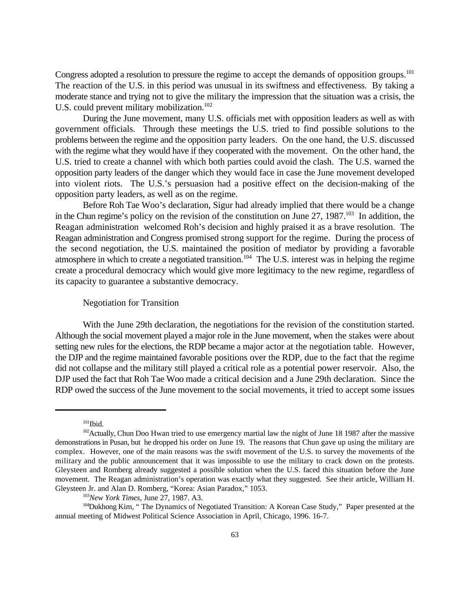Congress adopted a resolution to pressure the regime to accept the demands of opposition groups.<sup>101</sup> The reaction of the U.S. in this period was unusual in its swiftness and effectiveness. By taking a moderate stance and trying not to give the military the impression that the situation was a crisis, the U.S. could prevent military mobilization.<sup>102</sup>

During the June movement, many U.S. officials met with opposition leaders as well as with government officials. Through these meetings the U.S. tried to find possible solutions to the problems between the regime and the opposition party leaders. On the one hand, the U.S. discussed with the regime what they would have if they cooperated with the movement. On the other hand, the U.S. tried to create a channel with which both parties could avoid the clash. The U.S. warned the opposition party leaders of the danger which they would face in case the June movement developed into violent riots. The U.S.'s persuasion had a positive effect on the decision-making of the opposition party leaders, as well as on the regime.

Before Roh Tae Woo's declaration, Sigur had already implied that there would be a change in the Chun regime's policy on the revision of the constitution on June 27,  $1987$ .<sup>103</sup> In addition, the Reagan administration welcomed Roh's decision and highly praised it as a brave resolution. The Reagan administration and Congress promised strong support for the regime. During the process of the second negotiation, the U.S. maintained the position of mediator by providing a favorable atmosphere in which to create a negotiated transition.<sup>104</sup> The U.S. interest was in helping the regime create a procedural democracy which would give more legitimacy to the new regime, regardless of its capacity to guarantee a substantive democracy.

# Negotiation for Transition

With the June 29th declaration, the negotiations for the revision of the constitution started. Although the social movement played a major role in the June movement, when the stakes were about setting new rules for the elections, the RDP became a major actor at the negotiation table. However, the DJP and the regime maintained favorable positions over the RDP, due to the fact that the regime did not collapse and the military still played a critical role as a potential power reservoir. Also, the DJP used the fact that Roh Tae Woo made a critical decision and a June 29th declaration. Since the RDP owed the success of the June movement to the social movements, it tried to accept some issues

 $101$ Ibid.

 $102$  Actually, Chun Doo Hwan tried to use emergency martial law the night of June 18 1987 after the massive demonstrations in Pusan, but he dropped his order on June 19. The reasons that Chun gave up using the military are complex. However, one of the main reasons was the swift movement of the U.S. to survey the movements of the military and the public announcement that it was impossible to use the military to crack down on the protests. Gleysteen and Romberg already suggested a possible solution when the U.S. faced this situation before the June movement. The Reagan administration's operation was exactly what they suggested. See their article, William H. Gleysteen Jr. and Alan D. Romberg, "Korea: Asian Paradox," 1053.

<sup>&</sup>lt;sup>103</sup>New York Times, June 27, 1987. A3.

<sup>104</sup> Dukhong Kim, " The Dynamics of Negotiated Transition: A Korean Case Study," Paper presented at the annual meeting of Midwest Political Science Association in April, Chicago, 1996. 16-7.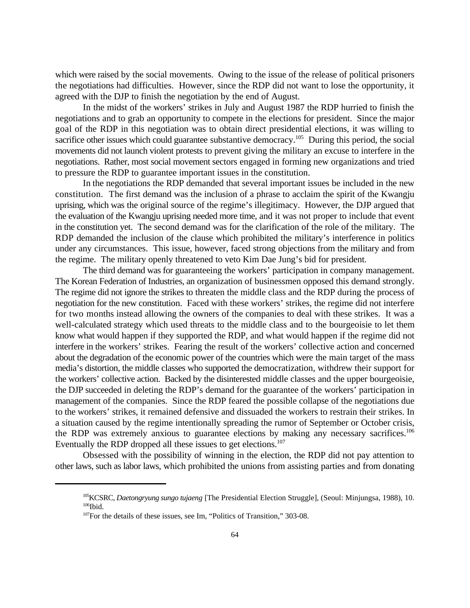which were raised by the social movements. Owing to the issue of the release of political prisoners the negotiations had difficulties. However, since the RDP did not want to lose the opportunity, it agreed with the DJP to finish the negotiation by the end of August.

In the midst of the workers' strikes in July and August 1987 the RDP hurried to finish the negotiations and to grab an opportunity to compete in the elections for president. Since the major goal of the RDP in this negotiation was to obtain direct presidential elections, it was willing to sacrifice other issues which could guarantee substantive democracy.<sup>105</sup> During this period, the social movements did not launch violent protests to prevent giving the military an excuse to interfere in the negotiations. Rather, most social movement sectors engaged in forming new organizations and tried to pressure the RDP to guarantee important issues in the constitution.

In the negotiations the RDP demanded that several important issues be included in the new constitution. The first demand was the inclusion of a phrase to acclaim the spirit of the Kwangju uprising, which was the original source of the regime's illegitimacy. However, the DJP argued that the evaluation of the Kwangju uprising needed more time, and it was not proper to include that event in the constitution yet. The second demand was for the clarification of the role of the military. The RDP demanded the inclusion of the clause which prohibited the military's interference in politics under any circumstances. This issue, however, faced strong objections from the military and from the regime. The military openly threatened to veto Kim Dae Jung's bid for president.

The third demand was for guaranteeing the workers' participation in company management. The Korean Federation of Industries, an organization of businessmen opposed this demand strongly. The regime did not ignore the strikes to threaten the middle class and the RDP during the process of negotiation for the new constitution. Faced with these workers' strikes, the regime did not interfere for two months instead allowing the owners of the companies to deal with these strikes. It was a well-calculated strategy which used threats to the middle class and to the bourgeoisie to let them know what would happen if they supported the RDP, and what would happen if the regime did not interfere in the workers' strikes. Fearing the result of the workers' collective action and concerned about the degradation of the economic power of the countries which were the main target of the mass media's distortion, the middle classes who supported the democratization, withdrew their support for the workers' collective action. Backed by the disinterested middle classes and the upper bourgeoisie, the DJP succeeded in deleting the RDP's demand for the guarantee of the workers' participation in management of the companies. Since the RDP feared the possible collapse of the negotiations due to the workers' strikes, it remained defensive and dissuaded the workers to restrain their strikes. In a situation caused by the regime intentionally spreading the rumor of September or October crisis, the RDP was extremely anxious to guarantee elections by making any necessary sacrifices.<sup>106</sup> Eventually the RDP dropped all these issues to get elections.<sup>107</sup>

Obsessed with the possibility of winning in the election, the RDP did not pay attention to other laws, such as labor laws, which prohibited the unions from assisting parties and from donating

<sup>&</sup>lt;sup>105</sup>KCSRC, *Daetongryung sungo tujaeng* [The Presidential Election Struggle], (Seoul: Minjungsa, 1988), 10.  $106$  Ibid.

 $107$  For the details of these issues, see Im, "Politics of Transition," 303-08.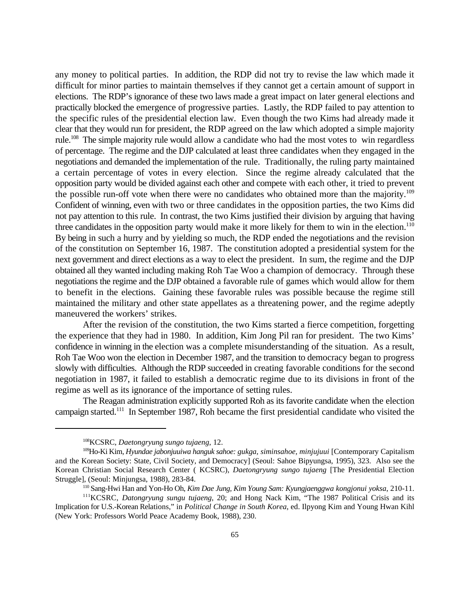any money to political parties. In addition, the RDP did not try to revise the law which made it difficult for minor parties to maintain themselves if they cannot get a certain amount of support in elections. The RDP's ignorance of these two laws made a great impact on later general elections and practically blocked the emergence of progressive parties. Lastly, the RDP failed to pay attention to the specific rules of the presidential election law. Even though the two Kims had already made it clear that they would run for president, the RDP agreed on the law which adopted a simple majority rule.<sup>108</sup> The simple majority rule would allow a candidate who had the most votes to win regardless of percentage. The regime and the DJP calculated at least three candidates when they engaged in the negotiations and demanded the implementation of the rule. Traditionally, the ruling party maintained a certain percentage of votes in every election. Since the regime already calculated that the opposition party would be divided against each other and compete with each other, it tried to prevent the possible run-off vote when there were no candidates who obtained more than the majority.<sup>109</sup> Confident of winning, even with two or three candidates in the opposition parties, the two Kims did not pay attention to this rule. In contrast, the two Kims justified their division by arguing that having three candidates in the opposition party would make it more likely for them to win in the election.<sup>110</sup> By being in such a hurry and by yielding so much, the RDP ended the negotiations and the revision of the constitution on September 16, 1987. The constitution adopted a presidential system for the next government and direct elections as a way to elect the president. In sum, the regime and the DJP obtained all they wanted including making Roh Tae Woo a champion of democracy. Through these negotiations the regime and the DJP obtained a favorable rule of games which would allow for them to benefit in the elections. Gaining these favorable rules was possible because the regime still maintained the military and other state appellates as a threatening power, and the regime adeptly maneuvered the workers' strikes.

After the revision of the constitution, the two Kims started a fierce competition, forgetting the experience that they had in 1980. In addition, Kim Jong Pil ran for president. The two Kims' confidence in winning in the election was a complete misunderstanding of the situation. As a result, Roh Tae Woo won the election in December 1987, and the transition to democracy began to progress slowly with difficulties. Although the RDP succeeded in creating favorable conditions for the second negotiation in 1987, it failed to establish a democratic regime due to its divisions in front of the regime as well as its ignorance of the importance of setting rules.

The Reagan administration explicitly supported Roh as its favorite candidate when the election campaign started.<sup> $111$ </sup> In September 1987, Roh became the first presidential candidate who visited the

<sup>&</sup>lt;sup>108</sup>KCSRC, *Daetongryung sungo tujaeng*, 12.

<sup>109</sup>Ho-Ki Kim, *Hyundae jabonjuuiwa hanguk sahoe: gukga, siminsahoe, minjujuui* [Contemporary Capitalism and the Korean Society: State, Civil Society, and Democracy] (Seoul: Sahoe Bipyungsa, 1995), 323. Also see the Korean Christian Social Research Center ( KCSRC), *Daetongryung sungo tujaeng* [The Presidential Election Struggle], (Seoul: Minjungsa, 1988), 283-84.

<sup>&</sup>lt;sup>110</sup> Sang-Hwi Han and Yon-Ho Oh, *Kim Dae Jung, Kim Young Sam: Kyungjaenggwa kongjonui yoksa*, 210-11.

<sup>&</sup>lt;sup>111</sup>KCSRC, *Datongryung sungu tujaeng*, 20; and Hong Nack Kim, "The 1987 Political Crisis and its Implication for U.S.-Korean Relations," in *Political Change in South Korea*, ed. Ilpyong Kim and Young Hwan Kihl (New York: Professors World Peace Academy Book, 1988), 230.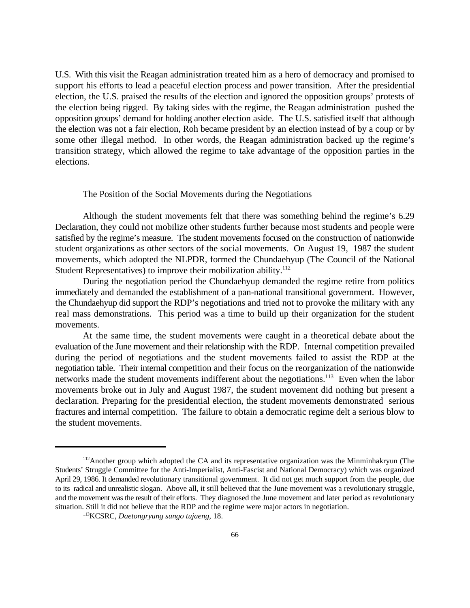U.S. With this visit the Reagan administration treated him as a hero of democracy and promised to support his efforts to lead a peaceful election process and power transition. After the presidential election, the U.S. praised the results of the election and ignored the opposition groups' protests of the election being rigged. By taking sides with the regime, the Reagan administration pushed the opposition groups' demand for holding another election aside. The U.S. satisfied itself that although the election was not a fair election, Roh became president by an election instead of by a coup or by some other illegal method. In other words, the Reagan administration backed up the regime's transition strategy, which allowed the regime to take advantage of the opposition parties in the elections.

### The Position of the Social Movements during the Negotiations

Although the student movements felt that there was something behind the regime's 6.29 Declaration, they could not mobilize other students further because most students and people were satisfied by the regime's measure. The student movements focused on the construction of nationwide student organizations as other sectors of the social movements. On August 19, 1987 the student movements, which adopted the NLPDR, formed the Chundaehyup (The Council of the National Student Representatives) to improve their mobilization ability.<sup>112</sup>

During the negotiation period the Chundaehyup demanded the regime retire from politics immediately and demanded the establishment of a pan-national transitional government. However, the Chundaehyup did support the RDP's negotiations and tried not to provoke the military with any real mass demonstrations. This period was a time to build up their organization for the student movements.

At the same time, the student movements were caught in a theoretical debate about the evaluation of the June movement and their relationship with the RDP. Internal competition prevailed during the period of negotiations and the student movements failed to assist the RDP at the negotiation table. Their internal competition and their focus on the reorganization of the nationwide networks made the student movements indifferent about the negotiations.<sup>113</sup> Even when the labor movements broke out in July and August 1987, the student movement did nothing but present a declaration. Preparing for the presidential election, the student movements demonstrated serious fractures and internal competition. The failure to obtain a democratic regime delt a serious blow to the student movements.

 $112$  Another group which adopted the CA and its representative organization was the Minminhakryun (The Students' Struggle Committee for the Anti-Imperialist, Anti-Fascist and National Democracy) which was organized April 29, 1986. It demanded revolutionary transitional government. It did not get much support from the people, due to its radical and unrealistic slogan. Above all, it still believed that the June movement was a revolutionary struggle, and the movement was the result of their efforts. They diagnosed the June movement and later period as revolutionary situation. Still it did not believe that the RDP and the regime were major actors in negotiation.

<sup>&</sup>lt;sup>113</sup>KCSRC, *Daetongryung sungo tujaeng*, 18.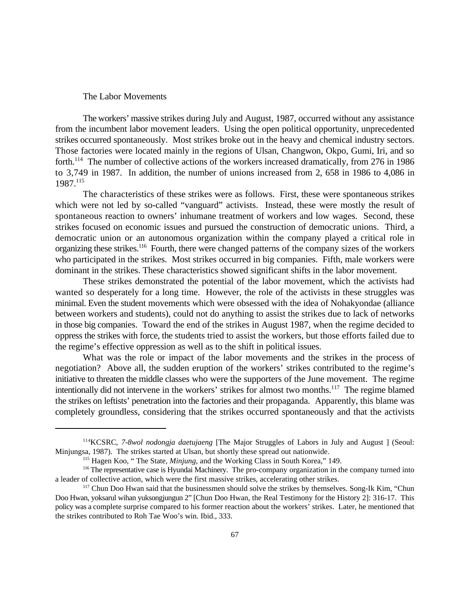### The Labor Movements

The workers' massive strikes during July and August, 1987, occurred without any assistance from the incumbent labor movement leaders. Using the open political opportunity, unprecedented strikes occurred spontaneously. Most strikes broke out in the heavy and chemical industry sectors. Those factories were located mainly in the regions of Ulsan, Changwon, Okpo, Gumi, Iri, and so forth.<sup> $114$ </sup> The number of collective actions of the workers increased dramatically, from 276 in 1986 to 3,749 in 1987. In addition, the number of unions increased from 2, 658 in 1986 to 4,086 in 1987.<sup>115</sup>

The characteristics of these strikes were as follows. First, these were spontaneous strikes which were not led by so-called "vanguard" activists. Instead, these were mostly the result of spontaneous reaction to owners' inhumane treatment of workers and low wages. Second, these strikes focused on economic issues and pursued the construction of democratic unions. Third, a democratic union or an autonomous organization within the company played a critical role in organizing these strikes.<sup>116</sup> Fourth, there were changed patterns of the company sizes of the workers who participated in the strikes. Most strikes occurred in big companies. Fifth, male workers were dominant in the strikes. These characteristics showed significant shifts in the labor movement.

These strikes demonstrated the potential of the labor movement, which the activists had wanted so desperately for a long time. However, the role of the activists in these struggles was minimal. Even the student movements which were obsessed with the idea of Nohakyondae (alliance between workers and students), could not do anything to assist the strikes due to lack of networks in those big companies. Toward the end of the strikes in August 1987, when the regime decided to oppress the strikes with force, the students tried to assist the workers, but those efforts failed due to the regime's effective oppression as well as to the shift in political issues.

What was the role or impact of the labor movements and the strikes in the process of negotiation? Above all, the sudden eruption of the workers' strikes contributed to the regime's initiative to threaten the middle classes who were the supporters of the June movement. The regime intentionally did not intervene in the workers' strikes for almost two months.<sup>117</sup> The regime blamed the strikes on leftists' penetration into the factories and their propaganda. Apparently, this blame was completely groundless, considering that the strikes occurred spontaneously and that the activists

<sup>&</sup>lt;sup>114</sup>KCSRC, 7-8wol nodongja daetujaeng [The Major Struggles of Labors in July and August ] (Seoul: Minjungsa, 1987). The strikes started at Ulsan, but shortly these spread out nationwide.

<sup>&</sup>lt;sup>115</sup> Hagen Koo, "The State, *Minjung*, and the Working Class in South Korea," 149.

<sup>&</sup>lt;sup>116</sup> The representative case is Hyundai Machinery. The pro-company organization in the company turned into a leader of collective action, which were the first massive strikes, accelerating other strikes.

 $117$  Chun Doo Hwan said that the businessmen should solve the strikes by themselves. Song-Ik Kim, "Chun Doo Hwan, yoksarul wihan yuksongjungun 2" [Chun Doo Hwan, the Real Testimony for the History 2]: 316-17. This policy was a complete surprise compared to his former reaction about the workers' strikes. Later, he mentioned that the strikes contributed to Roh Tae Woo's win. Ibid., 333.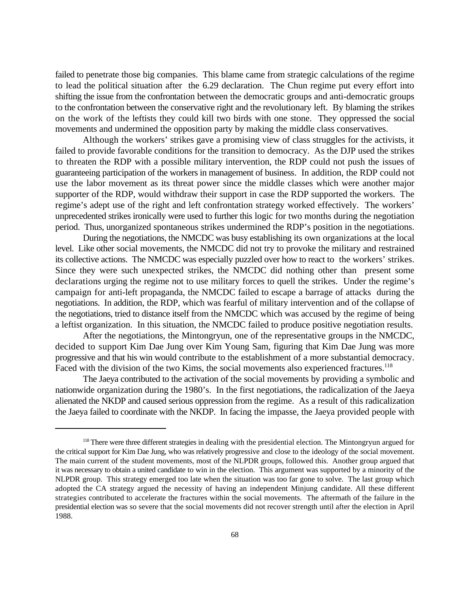failed to penetrate those big companies. This blame came from strategic calculations of the regime to lead the political situation after the 6.29 declaration. The Chun regime put every effort into shifting the issue from the confrontation between the democratic groups and anti-democratic groups to the confrontation between the conservative right and the revolutionary left. By blaming the strikes on the work of the leftists they could kill two birds with one stone. They oppressed the social movements and undermined the opposition party by making the middle class conservatives.

Although the workers' strikes gave a promising view of class struggles for the activists, it failed to provide favorable conditions for the transition to democracy. As the DJP used the strikes to threaten the RDP with a possible military intervention, the RDP could not push the issues of guaranteeing participation of the workers in management of business. In addition, the RDP could not use the labor movement as its threat power since the middle classes which were another major supporter of the RDP, would withdraw their support in case the RDP supported the workers. The regime's adept use of the right and left confrontation strategy worked effectively. The workers' unprecedented strikes ironically were used to further this logic for two months during the negotiation period. Thus, unorganized spontaneous strikes undermined the RDP's position in the negotiations.

During the negotiations, the NMCDC was busy establishing its own organizations at the local level. Like other social movements, the NMCDC did not try to provoke the military and restrained its collective actions. The NMCDC was especially puzzled over how to react to the workers' strikes. Since they were such unexpected strikes, the NMCDC did nothing other than present some declarations urging the regime not to use military forces to quell the strikes. Under the regime's campaign for anti-left propaganda, the NMCDC failed to escape a barrage of attacks during the negotiations. In addition, the RDP, which was fearful of military intervention and of the collapse of the negotiations, tried to distance itself from the NMCDC which was accused by the regime of being a leftist organization. In this situation, the NMCDC failed to produce positive negotiation results.

After the negotiations, the Mintongryun, one of the representative groups in the NMCDC, decided to support Kim Dae Jung over Kim Young Sam, figuring that Kim Dae Jung was more progressive and that his win would contribute to the establishment of a more substantial democracy. Faced with the division of the two Kims, the social movements also experienced fractures.<sup>118</sup>

The Jaeya contributed to the activation of the social movements by providing a symbolic and nationwide organization during the 1980's. In the first negotiations, the radicalization of the Jaeya alienated the NKDP and caused serious oppression from the regime. As a result of this radicalization the Jaeya failed to coordinate with the NKDP. In facing the impasse, the Jaeya provided people with

<sup>&</sup>lt;sup>118</sup> There were three different strategies in dealing with the presidential election. The Mintongryun argued for the critical support for Kim Dae Jung, who was relatively progressive and close to the ideology of the social movement. The main current of the student movements, most of the NLPDR groups, followed this. Another group argued that it was necessary to obtain a united candidate to win in the election. This argument was supported by a minority of the NLPDR group. This strategy emerged too late when the situation was too far gone to solve. The last group which adopted the CA strategy argued the necessity of having an independent Minjung candidate. All these different strategies contributed to accelerate the fractures within the social movements. The aftermath of the failure in the presidential election was so severe that the social movements did not recover strength until after the election in April 1988.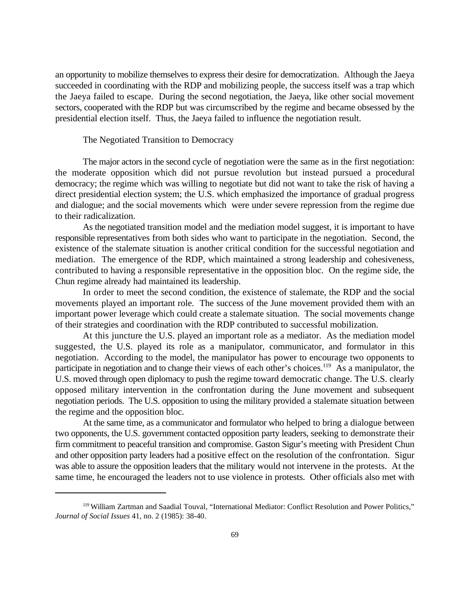an opportunity to mobilize themselves to express their desire for democratization. Although the Jaeya succeeded in coordinating with the RDP and mobilizing people, the success itself was a trap which the Jaeya failed to escape. During the second negotiation, the Jaeya, like other social movement sectors, cooperated with the RDP but was circumscribed by the regime and became obsessed by the presidential election itself. Thus, the Jaeya failed to influence the negotiation result.

# The Negotiated Transition to Democracy

The major actors in the second cycle of negotiation were the same as in the first negotiation: the moderate opposition which did not pursue revolution but instead pursued a procedural democracy; the regime which was willing to negotiate but did not want to take the risk of having a direct presidential election system; the U.S. which emphasized the importance of gradual progress and dialogue; and the social movements which were under severe repression from the regime due to their radicalization.

As the negotiated transition model and the mediation model suggest, it is important to have responsible representatives from both sides who want to participate in the negotiation. Second, the existence of the stalemate situation is another critical condition for the successful negotiation and mediation. The emergence of the RDP, which maintained a strong leadership and cohesiveness, contributed to having a responsible representative in the opposition bloc. On the regime side, the Chun regime already had maintained its leadership.

In order to meet the second condition, the existence of stalemate, the RDP and the social movements played an important role. The success of the June movement provided them with an important power leverage which could create a stalemate situation. The social movements change of their strategies and coordination with the RDP contributed to successful mobilization.

At this juncture the U.S. played an important role as a mediator. As the mediation model suggested, the U.S. played its role as a manipulator, communicator, and formulator in this negotiation. According to the model, the manipulator has power to encourage two opponents to participate in negotiation and to change their views of each other's choices.<sup>119</sup> As a manipulator, the U.S. moved through open diplomacy to push the regime toward democratic change. The U.S. clearly opposed military intervention in the confrontation during the June movement and subsequent negotiation periods. The U.S. opposition to using the military provided a stalemate situation between the regime and the opposition bloc.

At the same time, as a communicator and formulator who helped to bring a dialogue between two opponents, the U.S. government contacted opposition party leaders, seeking to demonstrate their firm commitment to peaceful transition and compromise. Gaston Sigur's meeting with President Chun and other opposition party leaders had a positive effect on the resolution of the confrontation. Sigur was able to assure the opposition leaders that the military would not intervene in the protests. At the same time, he encouraged the leaders not to use violence in protests. Other officials also met with

<sup>&</sup>lt;sup>119</sup> William Zartman and Saadial Touval, "International Mediator: Conflict Resolution and Power Politics," *Journal of Social Issues* 41, no. 2 (1985): 38-40.